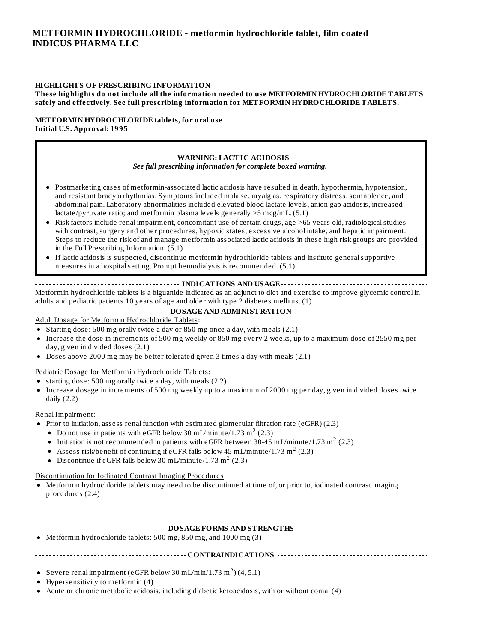## **METFORMIN HYDROCHLORIDE - metformin hydrochloride tablet, film coated INDICUS PHARMA LLC**

----------

#### **HIGHLIGHTS OF PRESCRIBING INFORMATION**

#### **These highlights do not include all the information needed to use METFORMIN HYDROCHLORIDE TABLETS safely and effectively. See full prescribing information for METFORMIN HYDROCHLORIDE TABLETS.**

#### **METFORMIN HYDROCHLORIDE tablets, for oral use Initial U.S. Approval: 1995**

#### **WARNING: LACTIC ACIDOSIS** *See full prescribing information for complete boxed warning.*

- Postmarketing cases of metformin-associated lactic acidosis have resulted in death, hypothermia, hypotension, and resistant bradyarrhythmias. Symptoms included malaise, myalgias, respiratory distress, somnolence, and abdominal pain. Laboratory abnormalities included elevated blood lactate levels, anion gap acidosis, increased lactate/pyruvate ratio; and metformin plasma levels generally >5 mcg/mL. (5.1)
- Risk factors include renal impairment, concomitant use of certain drugs, age >65 years old, radiologicalstudies with contrast, surgery and other procedures, hypoxic states, excessive alcohol intake, and hepatic impairment. Steps to reduce the risk of and manage metformin associated lactic acidosis in these high risk groups are provided in the Full Prescribing Information. (5.1)
- If lactic acidosis is suspected, discontinue metformin hydrochloride tablets and institute generalsupportive measures in a hospital setting. Prompt hemodialysis is recommended. (5.1)

#### **INDICATIONS AND USAGE** Metformin hydrochloride tablets is a biguanide indicated as an adjunct to diet and exercise to improve glycemic control in

adults and pediatric patients 10 years of age and older with type 2 diabetes mellitus. (1) **DOSAGE AND ADMINISTRATION**

Adult Dosage for Metformin Hydrochloride Tablets:

- Starting dose: 500 mg orally twice a day or 850 mg once a day, with meals (2.1)
- Increase the dose in increments of 500 mg weekly or 850 mg every 2 weeks, up to a maximum dose of 2550 mg per day, given in divided doses (2.1)
- Doses above 2000 mg may be better tolerated given 3 times a day with meals (2.1)

Pediatric Dosage for Metformin Hydrochloride Tablets:

- starting dose: 500 mg orally twice a day, with meals (2.2)
- Increase dosage in increments of 500 mg weekly up to a maximum of 2000 mg per day, given in divided doses twice daily (2.2)

#### Renal Impairment:

- Prior to initiation, assess renal function with estimated glomerular filtration rate (eGFR) (2.3)
	- Do not use in patients with eGFR below 30 mL/minute/1.73 m<sup>2</sup> (2.3)
	- Initiation is not recommended in patients with eGFR between 30-45 mL/minute/1.73 m<sup>2</sup> (2.3)
	- Assess risk/benefit of continuing if eGFR falls below 45 mL/minute/1.73  $\mathrm{m}^2$  (2.3)
	- Discontinue if eGFR falls below 30 mL/minute/1.73 m<sup>2</sup> (2.3)

Discontinuation for Iodinated Contrast Imaging Procedures

Metformin hydrochloride tablets may need to be discontinued at time of, or prior to, iodinated contrast imaging procedures (2.4)

| • Metformin hydrochloride tablets: 500 mg, 850 mg, and 1000 mg $(3)$ |  |  |  |  |  |
|----------------------------------------------------------------------|--|--|--|--|--|
|                                                                      |  |  |  |  |  |
|                                                                      |  |  |  |  |  |
|                                                                      |  |  |  |  |  |
|                                                                      |  |  |  |  |  |
|                                                                      |  |  |  |  |  |
|                                                                      |  |  |  |  |  |

- Severe renal impairment (eGFR below 30 mL/min/1.73 m<sup>2</sup>)(4, 5.1)
- Hypersensitivity to metformin (4)
- Acute or chronic metabolic acidosis, including diabetic ketoacidosis, with or without coma. (4)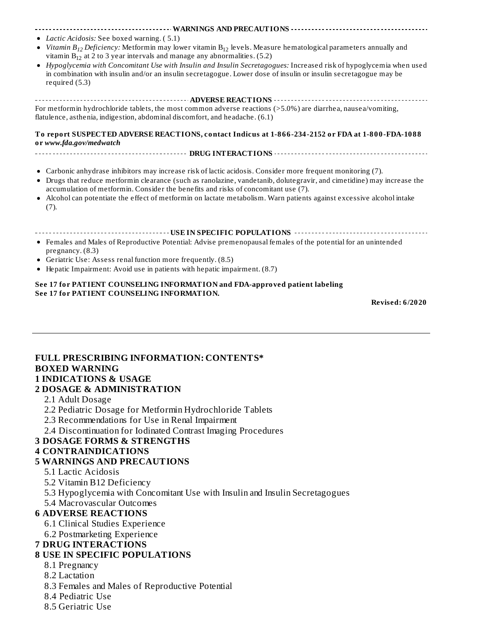| • Lactic Acidosis: See boxed warning. (5.1)                                                                                                                                                                                                                                                                                   |
|-------------------------------------------------------------------------------------------------------------------------------------------------------------------------------------------------------------------------------------------------------------------------------------------------------------------------------|
| • Vitamin $B_{12}$ Deficiency: Metformin may lower vitamin $B_{12}$ levels. Measure hematological parameters annually and<br>vitamin $B_{12}$ at 2 to 3 year intervals and manage any abnormalities. (5.2)                                                                                                                    |
| • Hypoglycemia with Concomitant Use with Insulin and Insulin Secretagogues: Increased risk of hypoglycemia when used<br>in combination with insulin and/or an insulin secretagogue. Lower dose of insulin or insulin secretagogue may be<br>required $(5.3)$                                                                  |
|                                                                                                                                                                                                                                                                                                                               |
| For metformin hydrochloride tablets, the most common adverse reactions (>5.0%) are diarrhea, nausea/vomiting,<br>flatulence, asthenia, indigestion, abdominal discomfort, and headache. (6.1)                                                                                                                                 |
| To report SUSPECTED ADVERSE REACTIONS, contact Indicus at 1-866-234-2152 or FDA at 1-800-FDA-1088<br>or www.fda.gov/medwatch                                                                                                                                                                                                  |
|                                                                                                                                                                                                                                                                                                                               |
| • Carbonic anhydrase inhibitors may increase risk of lactic acidosis. Consider more frequent monitoring (7).<br>• Drugs that reduce metformin clearance (such as ranolazine, vandetanib, dolutegravir, and cimetidine) may increase the<br>accumulation of metformin. Consider the benefits and risks of concomitant use (7). |
| • Alcohol can potentiate the effect of metformin on lactate metabolism. Warn patients against excessive alcohol intake<br>(7).                                                                                                                                                                                                |
| ------------------------ USE IN SPECIFIC POPULATIONS ---------------------                                                                                                                                                                                                                                                    |
| • Females and Males of Reproductive Potential: Advise premenopausal females of the potential for an unintended<br>pregnancy. $(8.3)$                                                                                                                                                                                          |
| • Geriatric Use: Assess renal function more frequently. (8.5)                                                                                                                                                                                                                                                                 |
| • Hepatic Impairment: Avoid use in patients with hepatic impairment. (8.7)                                                                                                                                                                                                                                                    |
| See 17 for PATIENT COUNSELING INFORMATION and FDA-approved patient labeling                                                                                                                                                                                                                                                   |

**See 17 for PATIENT COUNSELING INFORMATION.**

**Revised: 6/2020**

#### **FULL PRESCRIBING INFORMATION: CONTENTS\* BOXED WARNING 1 INDICATIONS & USAGE**

# **2 DOSAGE & ADMINISTRATION**

- 2.1 Adult Dosage
- 2.2 Pediatric Dosage for Metformin Hydrochloride Tablets
- 2.3 Recommendations for Use in Renal Impairment
- 2.4 Discontinuation for Iodinated Contrast Imaging Procedures

# **3 DOSAGE FORMS & STRENGTHS**

# **4 CONTRAINDICATIONS**

# **5 WARNINGS AND PRECAUTIONS**

- 5.1 Lactic Acidosis
- 5.2 Vitamin B12 Deficiency
- 5.3 Hypoglycemia with Concomitant Use with Insulin and Insulin Secretagogues
- 5.4 Macrovascular Outcomes

# **6 ADVERSE REACTIONS**

- 6.1 Clinical Studies Experience
- 6.2 Postmarketing Experience

# **7 DRUG INTERACTIONS**

# **8 USE IN SPECIFIC POPULATIONS**

- 8.1 Pregnancy
- 8.2 Lactation
- 8.3 Females and Males of Reproductive Potential
- 8.4 Pediatric Use
- 8.5 Geriatric Use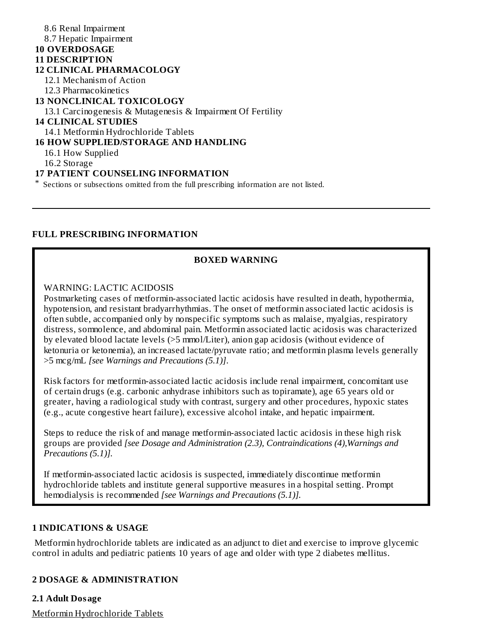## 8.6 Renal Impairment 8.7 Hepatic Impairment **10 OVERDOSAGE 11 DESCRIPTION 12 CLINICAL PHARMACOLOGY** 12.1 Mechanism of Action 12.3 Pharmacokinetics **13 NONCLINICAL TOXICOLOGY** 13.1 Carcinogenesis & Mutagenesis & Impairment Of Fertility **14 CLINICAL STUDIES** 14.1 Metformin Hydrochloride Tablets **16 HOW SUPPLIED/STORAGE AND HANDLING** 16.1 How Supplied 16.2 Storage **17 PATIENT COUNSELING INFORMATION** \* Sections or subsections omitted from the full prescribing information are not listed.

## **FULL PRESCRIBING INFORMATION**

#### **BOXED WARNING**

WARNING: LACTIC ACIDOSIS

Postmarketing cases of metformin-associated lactic acidosis have resulted in death, hypothermia, hypotension, and resistant bradyarrhythmias. The onset of metformin associated lactic acidosis is often subtle, accompanied only by nonspecific symptoms such as malaise, myalgias, respiratory distress, somnolence, and abdominal pain. Metformin associated lactic acidosis was characterized by elevated blood lactate levels (>5 mmol/Liter), anion gap acidosis (without evidence of ketonuria or ketonemia), an increased lactate/pyruvate ratio; and metformin plasma levels generally >5 mcg/mL *[see Warnings and Precautions (5.1)]*.

Risk factors for metformin-associated lactic acidosis include renal impairment, concomitant use of certain drugs (e.g. carbonic anhydrase inhibitors such as topiramate), age 65 years old or greater, having a radiological study with contrast, surgery and other procedures, hypoxic states (e.g., acute congestive heart failure), excessive alcohol intake, and hepatic impairment.

Steps to reduce the risk of and manage metformin-associated lactic acidosis in these high risk groups are provided *[see Dosage and Administration (2.3), Contraindications (4),Warnings and Precautions (5.1)].*

If metformin-associated lactic acidosis is suspected, immediately discontinue metformin hydrochloride tablets and institute general supportive measures in a hospital setting. Prompt hemodialysis is recommended *[see Warnings and Precautions (5.1)].*

#### **1 INDICATIONS & USAGE**

Metformin hydrochloride tablets are indicated as an adjunct to diet and exercise to improve glycemic control in adults and pediatric patients 10 years of age and older with type 2 diabetes mellitus.

## **2 DOSAGE & ADMINISTRATION**

## **2.1 Adult Dosage**

Metformin Hydrochloride Tablets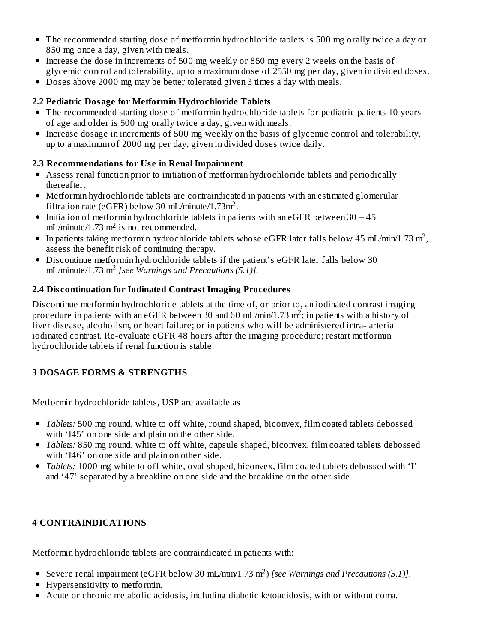- The recommended starting dose of metformin hydrochloride tablets is 500 mg orally twice a day or 850 mg once a day, given with meals.
- Increase the dose in increments of 500 mg weekly or 850 mg every 2 weeks on the basis of glycemic control and tolerability, up to a maximum dose of 2550 mg per day, given in divided doses.
- Doses above 2000 mg may be better tolerated given 3 times a day with meals.

## **2.2 Pediatric Dosage for Metformin Hydrochloride Tablets**

- The recommended starting dose of metformin hydrochloride tablets for pediatric patients 10 years of age and older is 500 mg orally twice a day, given with meals.
- Increase dosage in increments of 500 mg weekly on the basis of glycemic control and tolerability, up to a maximum of 2000 mg per day, given in divided doses twice daily.

## **2.3 Recommendations for Us e in Renal Impairment**

- Assess renal function prior to initiation of metformin hydrochloride tablets and periodically thereafter.
- Metformin hydrochloride tablets are contraindicated in patients with an estimated glomerular filtration rate (eGFR) below 30 mL/minute/1.73m<sup>2</sup>.
- $\bullet$  Initiation of metformin hydrochloride tablets in patients with an eGFR between 30 45  $mL/minu$ te/1.73 m<sup>2</sup> is not recommended.
- In patients taking metformin hydrochloride tablets whose eGFR later falls below 45 mL/min/1.73 m<sup>2</sup>, assess the benefit risk of continuing therapy.
- Discontinue metformin hydrochloride tablets if the patient's eGFR later falls below 30 mL/minute/1.73 m<sup>2</sup> [see Warnings and Precautions (5.1)].

## **2.4 Dis continuation for Iodinated Contrast Imaging Procedures**

Discontinue metformin hydrochloride tablets at the time of, or prior to, an iodinated contrast imaging procedure in patients with an eGFR between 30 and 60 mL/min/1.73 m<sup>2</sup>; in patients with a history of liver disease, alcoholism, or heart failure; or in patients who will be administered intra- arterial iodinated contrast. Re-evaluate eGFR 48 hours after the imaging procedure; restart metformin hydrochloride tablets if renal function is stable.

# **3 DOSAGE FORMS & STRENGTHS**

Metformin hydrochloride tablets, USP are available as

- *Tablets:* 500 mg round, white to off white, round shaped, biconvex, film coated tablets debossed with 'I45' on one side and plain on the other side.
- Tablets: 850 mg round, white to off white, capsule shaped, biconvex, film coated tablets debossed with 'I46' on one side and plain on other side.
- *Tablets:* 1000 mg white to off white, oval shaped, biconvex, film coated tablets debossed with 'I' and '47' separated by a breakline on one side and the breakline on the other side.

## **4 CONTRAINDICATIONS**

Metformin hydrochloride tablets are contraindicated in patients with:

- Severe renal impairment (eGFR below 30 mL/min/1.73 m<sup>2</sup>) [see Warnings and Precautions (5.1)].
- Hypersensitivity to metformin.
- Acute or chronic metabolic acidosis, including diabetic ketoacidosis, with or without coma.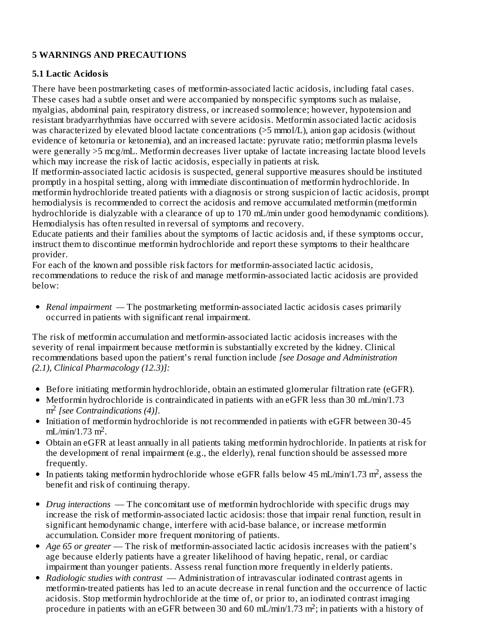## **5 WARNINGS AND PRECAUTIONS**

## **5.1 Lactic Acidosis**

There have been postmarketing cases of metformin-associated lactic acidosis, including fatal cases. These cases had a subtle onset and were accompanied by nonspecific symptoms such as malaise, myalgias, abdominal pain, respiratory distress, or increased somnolence; however, hypotension and resistant bradyarrhythmias have occurred with severe acidosis. Metformin associated lactic acidosis was characterized by elevated blood lactate concentrations (>5 mmol/L), anion gap acidosis (without evidence of ketonuria or ketonemia), and an increased lactate: pyruvate ratio; metformin plasma levels were generally >5 mcg/mL. Metformin decreases liver uptake of lactate increasing lactate blood levels which may increase the risk of lactic acidosis, especially in patients at risk.

If metformin-associated lactic acidosis is suspected, general supportive measures should be instituted promptly in a hospital setting, along with immediate discontinuation of metformin hydrochloride. In metformin hydrochloride treated patients with a diagnosis or strong suspicion of lactic acidosis, prompt hemodialysis is recommended to correct the acidosis and remove accumulated metformin (metformin hydrochloride is dialyzable with a clearance of up to 170 mL/min under good hemodynamic conditions). Hemodialysis has often resulted in reversal of symptoms and recovery.

Educate patients and their families about the symptoms of lactic acidosis and, if these symptoms occur, instruct them to discontinue metformin hydrochloride and report these symptoms to their healthcare provider.

For each of the known and possible risk factors for metformin-associated lactic acidosis, recommendations to reduce the risk of and manage metformin-associated lactic acidosis are provided below:

*Renal impairment —* The postmarketing metformin-associated lactic acidosis cases primarily occurred in patients with significant renal impairment.

The risk of metformin accumulation and metformin-associated lactic acidosis increases with the severity of renal impairment because metformin is substantially excreted by the kidney. Clinical recommendations based upon the patient's renal function include *[see Dosage and Administration (2.1), Clinical Pharmacology (12.3)]:*

- Before initiating metformin hydrochloride, obtain an estimated glomerular filtration rate (eGFR).
- Metformin hydrochloride is contraindicated in patients with an eGFR less than 30 mL/min/1.73 m<sup>2</sup> [see Contraindications (4)].
- Initiation of metformin hydrochloride is not recommended in patients with eGFR between 30-45  $mL/min/1.73 m<sup>2</sup>$ .
- Obtain an eGFR at least annually in all patients taking metformin hydrochloride. In patients at risk for the development of renal impairment (e.g., the elderly), renal function should be assessed more frequently.
- In patients taking metformin hydrochloride whose eGFR falls below 45 mL/min/1.73 m<sup>2</sup>, assess the benefit and risk of continuing therapy.
- *Drug interactions* The concomitant use of metformin hydrochloride with specific drugs may increase the risk of metformin-associated lactic acidosis: those that impair renal function, result in significant hemodynamic change, interfere with acid-base balance, or increase metformin accumulation. Consider more frequent monitoring of patients.
- *Age 65 or greater* The risk of metformin-associated lactic acidosis increases with the patient's age because elderly patients have a greater likelihood of having hepatic, renal, or cardiac impairment than younger patients. Assess renal function more frequently in elderly patients.
- *Radiologic studies with contrast* Administration of intravascular iodinated contrast agents in metformin-treated patients has led to an acute decrease in renal function and the occurrence of lactic acidosis. Stop metformin hydrochloride at the time of, or prior to, an iodinated contrast imaging procedure in patients with an eGFR between 30 and 60 mL/min/1.73 m<sup>2</sup>; in patients with a history of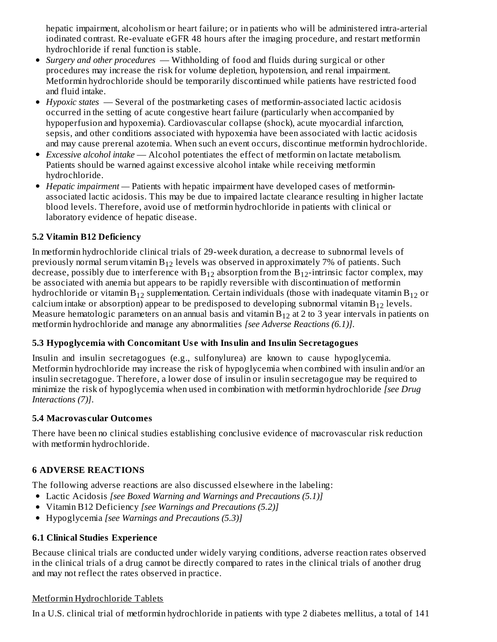hepatic impairment, alcoholism or heart failure; or in patients who will be administered intra-arterial iodinated contrast. Re-evaluate eGFR 48 hours after the imaging procedure, and restart metformin hydrochloride if renal function is stable.

- *Surgery and other procedures* Withholding of food and fluids during surgical or other procedures may increase the risk for volume depletion, hypotension, and renal impairment. Metformin hydrochloride should be temporarily discontinued while patients have restricted food and fluid intake.
- *Hypoxic states* Several of the postmarketing cases of metformin-associated lactic acidosis occurred in the setting of acute congestive heart failure (particularly when accompanied by hypoperfusion and hypoxemia). Cardiovascular collapse (shock), acute myocardial infarction, sepsis, and other conditions associated with hypoxemia have been associated with lactic acidosis and may cause prerenal azotemia. When such an event occurs, discontinue metformin hydrochloride.
- *Excessive alcohol intake* Alcohol potentiates the effect of metformin on lactate metabolism. Patients should be warned against excessive alcohol intake while receiving metformin hydrochloride.
- *Hepatic impairment —* Patients with hepatic impairment have developed cases of metforminassociated lactic acidosis. This may be due to impaired lactate clearance resulting in higher lactate blood levels. Therefore, avoid use of metformin hydrochloride in patients with clinical or laboratory evidence of hepatic disease.

# **5.2 Vitamin B12 Deficiency**

In metformin hydrochloride clinical trials of 29-week duration, a decrease to subnormal levels of previously normal serum vitamin  $\rm B_{12}$  levels was observed in approximately 7% of patients. Such decrease, possibly due to interference with  $\rm B_{12}$  absorption from the  $\rm B_{12}$ -intrinsic factor complex, may be associated with anemia but appears to be rapidly reversible with discontinuation of metformin hydrochloride or vitamin $\rm B_{12}$  supplementation. Certain individuals (those with inadequate vitamin  $\rm B_{12}$  or calcium intake or absorption) appear to be predisposed to developing subnormal vitamin  $B_{12}$  levels. Measure hematologic parameters on an annual basis and vitamin  $B_{12}$  at 2 to 3 year intervals in patients on metformin hydrochloride and manage any abnormalities *[see Adverse Reactions (6.1)]*.

# **5.3 Hypoglycemia with Concomitant Us e with Insulin and Insulin Secretagogues**

Insulin and insulin secretagogues (e.g., sulfonylurea) are known to cause hypoglycemia. Metformin hydrochloride may increase the risk of hypoglycemia when combined with insulin and/or an insulin secretagogue. Therefore, a lower dose of insulin or insulin secretagogue may be required to minimize the risk of hypoglycemia when used in combination with metformin hydrochloride *[see Drug Interactions (7)]*.

## **5.4 Macrovas cular Outcomes**

There have been no clinical studies establishing conclusive evidence of macrovascular risk reduction with metformin hydrochloride.

# **6 ADVERSE REACTIONS**

The following adverse reactions are also discussed elsewhere in the labeling:

- Lactic Acidosis *[see Boxed Warning and Warnings and Precautions (5.1)]*
- Vitamin B12 Deficiency *[see Warnings and Precautions (5.2)]*
- Hypoglycemia *[see Warnings and Precautions (5.3)]*

# **6.1 Clinical Studies Experience**

Because clinical trials are conducted under widely varying conditions, adverse reaction rates observed in the clinical trials of a drug cannot be directly compared to rates in the clinical trials of another drug and may not reflect the rates observed in practice.

## Metformin Hydrochloride Tablets

In a U.S. clinical trial of metformin hydrochloride in patients with type 2 diabetes mellitus, a total of 141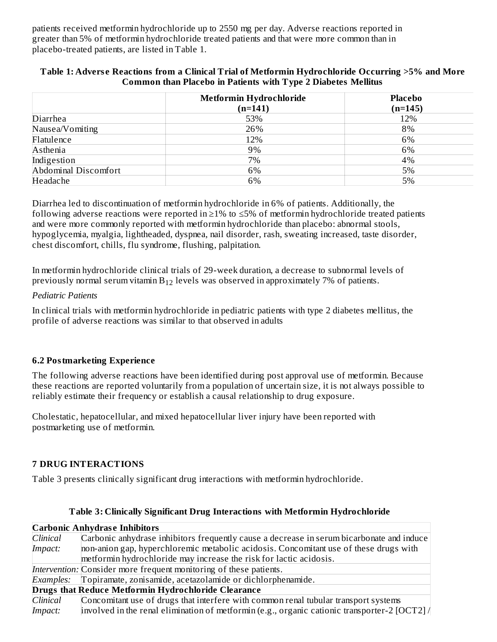patients received metformin hydrochloride up to 2550 mg per day. Adverse reactions reported in greater than 5% of metformin hydrochloride treated patients and that were more common than in placebo-treated patients, are listed in Table 1.

|                      | Metformin Hydrochloride<br>$(n=141)$ | <b>Placebo</b><br>$(n=145)$ |
|----------------------|--------------------------------------|-----------------------------|
| Diarrhea             | 53%                                  | 12%                         |
| Nausea/Vomiting      | 26%                                  | 8%                          |
| Flatulence           | 12%                                  | 6%                          |
| Asthenia             | 9%                                   | 6%                          |
| Indigestion          | 7%                                   | 4%                          |
| Abdominal Discomfort | 6%                                   | 5%                          |
| Headache             | 6%                                   | 5%                          |

## **Table 1: Advers e Reactions from a Clinical Trial of Metformin Hydrochloride Occurring >5% and More Common than Placebo in Patients with Type 2 Diabetes Mellitus**

Diarrhea led to discontinuation of metformin hydrochloride in 6% of patients. Additionally, the following adverse reactions were reported in ≥1% to ≤5% of metformin hydrochloride treated patients and were more commonly reported with metformin hydrochloride than placebo: abnormal stools, hypoglycemia, myalgia, lightheaded, dyspnea, nail disorder, rash, sweating increased, taste disorder, chest discomfort, chills, flu syndrome, flushing, palpitation.

In metformin hydrochloride clinical trials of 29-week duration, a decrease to subnormal levels of previously normal serum vitamin  $B_{12}$  levels was observed in approximately 7% of patients.

## *Pediatric Patients*

In clinical trials with metformin hydrochloride in pediatric patients with type 2 diabetes mellitus, the profile of adverse reactions was similar to that observed in adults

# **6.2 Postmarketing Experience**

The following adverse reactions have been identified during post approval use of metformin. Because these reactions are reported voluntarily from a population of uncertain size, it is not always possible to reliably estimate their frequency or establish a causal relationship to drug exposure.

Cholestatic, hepatocellular, and mixed hepatocellular liver injury have been reported with postmarketing use of metformin.

# **7 DRUG INTERACTIONS**

Table 3 presents clinically significant drug interactions with metformin hydrochloride.

## **Table 3: Clinically Significant Drug Interactions with Metformin Hydrochloride**

| <b>Carbonic Anhydrase Inhibitors</b> |                                                                                                 |  |  |  |  |  |
|--------------------------------------|-------------------------------------------------------------------------------------------------|--|--|--|--|--|
| Clinical                             | Carbonic anhydrase inhibitors frequently cause a decrease in serum bicarbonate and induce       |  |  |  |  |  |
| Impact:                              | non-anion gap, hyperchloremic metabolic acidosis. Concomitant use of these drugs with           |  |  |  |  |  |
|                                      | metformin hydrochloride may increase the risk for lactic acidosis.                              |  |  |  |  |  |
|                                      | Intervention: Consider more frequent monitoring of these patients.                              |  |  |  |  |  |
|                                      | Examples: Topiramate, zonisamide, acetazolamide or dichlorphenamide.                            |  |  |  |  |  |
|                                      | <b>Drugs that Reduce Metformin Hydrochloride Clearance</b>                                      |  |  |  |  |  |
| <b>Clinical</b>                      | Concomitant use of drugs that interfere with common renal tubular transport systems             |  |  |  |  |  |
| Impact:                              | involved in the renal elimination of metformin (e.g., organic cationic transporter-2 [OCT2] $/$ |  |  |  |  |  |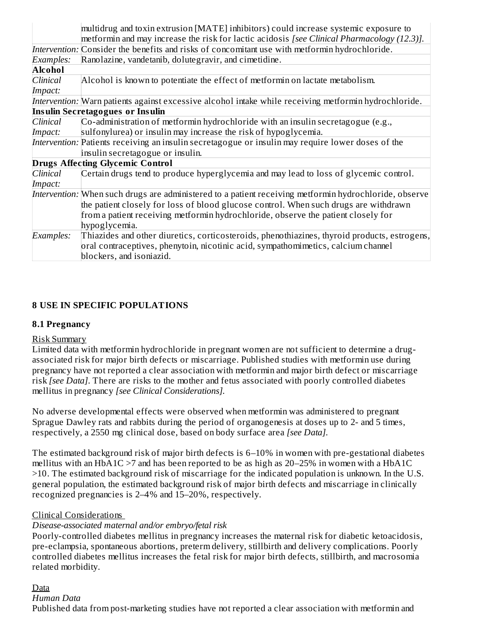|                | multidrug and toxin extrusion [MATE] inhibitors) could increase systemic exposure to                   |
|----------------|--------------------------------------------------------------------------------------------------------|
|                | metformin and may increase the risk for lactic acidosis <i>[see Clinical Pharmacology (12.3)]</i> .    |
|                | Intervention: Consider the benefits and risks of concomitant use with metformin hydrochloride.         |
| Examples:      | Ranolazine, vandetanib, dolutegravir, and cimetidine.                                                  |
| <b>Alcohol</b> |                                                                                                        |
| Clinical       | Alcohol is known to potentiate the effect of metformin on lactate metabolism.                          |
| Impact:        |                                                                                                        |
|                | Intervention: Warn patients against excessive alcohol intake while receiving metformin hydrochloride.  |
|                | Insulin Secretagogues or Insulin                                                                       |
| Clinical       | Co-administration of metformin hydrochloride with an insulin secretagogue (e.g.,                       |
| Impact:        | sulfonylurea) or insulin may increase the risk of hypoglycemia.                                        |
|                | Intervention: Patients receiving an insulin secretagogue or insulin may require lower doses of the     |
|                | insulin secretagogue or insulin.                                                                       |
|                | <b>Drugs Affecting Glycemic Control</b>                                                                |
| Clinical       | Certain drugs tend to produce hyperglycemia and may lead to loss of glycemic control.                  |
| Impact:        |                                                                                                        |
|                | Intervention: When such drugs are administered to a patient receiving metformin hydrochloride, observe |
|                | the patient closely for loss of blood glucose control. When such drugs are withdrawn                   |
|                | from a patient receiving metformin hydrochloride, observe the patient closely for                      |
|                | hypoglycemia.                                                                                          |
| Examples:      |                                                                                                        |
|                | oral contraceptives, phenytoin, nicotinic acid, sympathomimetics, calcium channel                      |
|                | blockers, and isoniazid.                                                                               |

# **8 USE IN SPECIFIC POPULATIONS**

## **8.1 Pregnancy**

## Risk Summary

Limited data with metformin hydrochloride in pregnant women are not sufficient to determine a drugassociated risk for major birth defects or miscarriage. Published studies with metformin use during pregnancy have not reported a clear association with metformin and major birth defect or miscarriage risk *[see Data]*. There are risks to the mother and fetus associated with poorly controlled diabetes mellitus in pregnancy *[see Clinical Considerations].*

No adverse developmental effects were observed when metformin was administered to pregnant Sprague Dawley rats and rabbits during the period of organogenesis at doses up to 2- and 5 times, respectively, a 2550 mg clinical dose, based on body surface area *[see Data].*

The estimated background risk of major birth defects is 6–10% in women with pre-gestational diabetes mellitus with an HbA1C >7 and has been reported to be as high as 20–25% in women with a HbA1C >10. The estimated background risk of miscarriage for the indicated population is unknown. In the U.S. general population, the estimated background risk of major birth defects and miscarriage in clinically recognized pregnancies is 2–4% and 15–20%, respectively.

## Clinical Considerations

## *Disease-associated maternal and/or embryo/fetal risk*

Poorly-controlled diabetes mellitus in pregnancy increases the maternal risk for diabetic ketoacidosis, pre-eclampsia, spontaneous abortions, preterm delivery, stillbirth and delivery complications. Poorly controlled diabetes mellitus increases the fetal risk for major birth defects, stillbirth, and macrosomia related morbidity.

## Data

#### *Human Data*

Published data from post-marketing studies have not reported a clear association with metformin and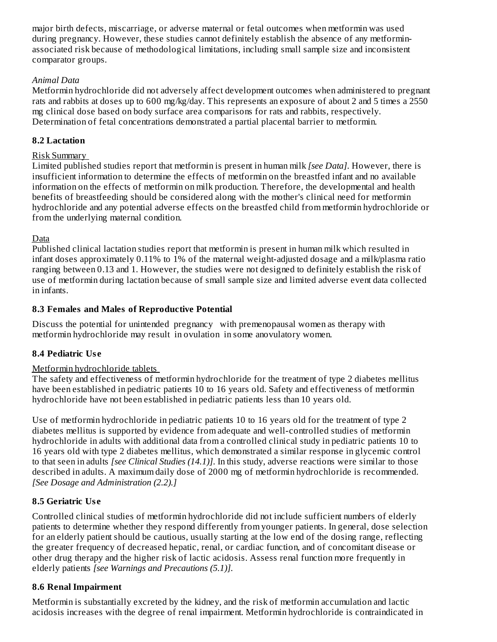major birth defects, miscarriage, or adverse maternal or fetal outcomes when metformin was used during pregnancy. However, these studies cannot definitely establish the absence of any metforminassociated risk because of methodological limitations, including small sample size and inconsistent comparator groups.

## *Animal Data*

Metformin hydrochloride did not adversely affect development outcomes when administered to pregnant rats and rabbits at doses up to 600 mg/kg/day. This represents an exposure of about 2 and 5 times a 2550 mg clinical dose based on body surface area comparisons for rats and rabbits, respectively. Determination of fetal concentrations demonstrated a partial placental barrier to metformin.

## **8.2 Lactation**

## Risk Summary

Limited published studies report that metformin is present in human milk *[see Data]*. However, there is insufficient information to determine the effects of metformin on the breastfed infant and no available information on the effects of metformin on milk production. Therefore, the developmental and health benefits of breastfeeding should be considered along with the mother's clinical need for metformin hydrochloride and any potential adverse effects on the breastfed child from metformin hydrochloride or from the underlying maternal condition.

## Data

Published clinical lactation studies report that metformin is present in human milk which resulted in infant doses approximately 0.11% to 1% of the maternal weight-adjusted dosage and a milk/plasma ratio ranging between 0.13 and 1. However, the studies were not designed to definitely establish the risk of use of metformin during lactation because of small sample size and limited adverse event data collected in infants.

## **8.3 Females and Males of Reproductive Potential**

Discuss the potential for unintended pregnancy with premenopausal women as therapy with metformin hydrochloride may result in ovulation in some anovulatory women.

# **8.4 Pediatric Us e**

## Metformin hydrochloride tablets

The safety and effectiveness of metformin hydrochloride for the treatment of type 2 diabetes mellitus have been established in pediatric patients 10 to 16 years old. Safety and effectiveness of metformin hydrochloride have not been established in pediatric patients less than 10 years old.

Use of metformin hydrochloride in pediatric patients 10 to 16 years old for the treatment of type 2 diabetes mellitus is supported by evidence from adequate and well-controlled studies of metformin hydrochloride in adults with additional data from a controlled clinical study in pediatric patients 10 to 16 years old with type 2 diabetes mellitus, which demonstrated a similar response in glycemic control to that seen in adults *[see Clinical Studies (14.1)]*. In this study, adverse reactions were similar to those described in adults. A maximum daily dose of 2000 mg of metformin hydrochloride is recommended. *[See Dosage and Administration (2.2).]*

## **8.5 Geriatric Us e**

Controlled clinical studies of metformin hydrochloride did not include sufficient numbers of elderly patients to determine whether they respond differently from younger patients. In general, dose selection for an elderly patient should be cautious, usually starting at the low end of the dosing range, reflecting the greater frequency of decreased hepatic, renal, or cardiac function, and of concomitant disease or other drug therapy and the higher risk of lactic acidosis. Assess renal function more frequently in elderly patients *[see Warnings and Precautions (5.1)].*

## **8.6 Renal Impairment**

Metformin is substantially excreted by the kidney, and the risk of metformin accumulation and lactic acidosis increases with the degree of renal impairment. Metformin hydrochloride is contraindicated in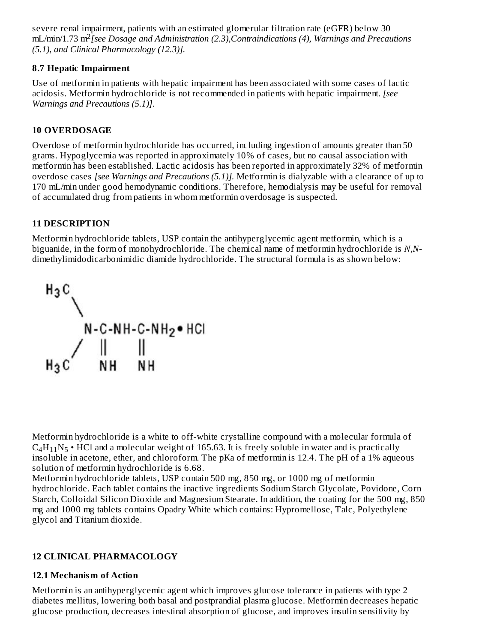severe renal impairment, patients with an estimated glomerular filtration rate (eGFR) below 30 mL/min/1.73 m *[see Dosage and Administration (2.3),Contraindications (4), Warnings and Precautions* 2 *(5.1), and Clinical Pharmacology (12.3)].*

## **8.7 Hepatic Impairment**

Use of metformin in patients with hepatic impairment has been associated with some cases of lactic acidosis. Metformin hydrochloride is not recommended in patients with hepatic impairment. *[see Warnings and Precautions (5.1)].*

## **10 OVERDOSAGE**

Overdose of metformin hydrochloride has occurred, including ingestion of amounts greater than 50 grams. Hypoglycemia was reported in approximately 10% of cases, but no causal association with metformin has been established. Lactic acidosis has been reported in approximately 32% of metformin overdose cases *[see Warnings and Precautions (5.1)].* Metformin is dialyzable with a clearance of up to 170 mL/min under good hemodynamic conditions. Therefore, hemodialysis may be useful for removal of accumulated drug from patients in whom metformin overdosage is suspected.

## **11 DESCRIPTION**

Metformin hydrochloride tablets, USP contain the antihyperglycemic agent metformin, which is a biguanide, in the form of monohydrochloride. The chemical name of metformin hydrochloride is *N,N*dimethylimidodicarbonimidic diamide hydrochloride. The structural formula is as shown below:



Metformin hydrochloride is a white to off-white crystalline compound with a molecular formula of  $C_4H_{11}N_5$  • HCl and a molecular weight of 165.63. It is freely soluble in water and is practically insoluble in acetone, ether, and chloroform. The pKa of metformin is 12.4. The pH of a 1% aqueous solution of metformin hydrochloride is 6.68.

Metformin hydrochloride tablets, USP contain 500 mg, 850 mg, or 1000 mg of metformin hydrochloride. Each tablet contains the inactive ingredients Sodium Starch Glycolate, Povidone, Corn Starch, Colloidal Silicon Dioxide and Magnesium Stearate. In addition, the coating for the 500 mg, 850 mg and 1000 mg tablets contains Opadry White which contains: Hypromellose, Talc, Polyethylene glycol and Titanium dioxide.

# **12 CLINICAL PHARMACOLOGY**

## **12.1 Mechanism of Action**

Metformin is an antihyperglycemic agent which improves glucose tolerance in patients with type 2 diabetes mellitus, lowering both basal and postprandial plasma glucose. Metformin decreases hepatic glucose production, decreases intestinal absorption of glucose, and improves insulin sensitivity by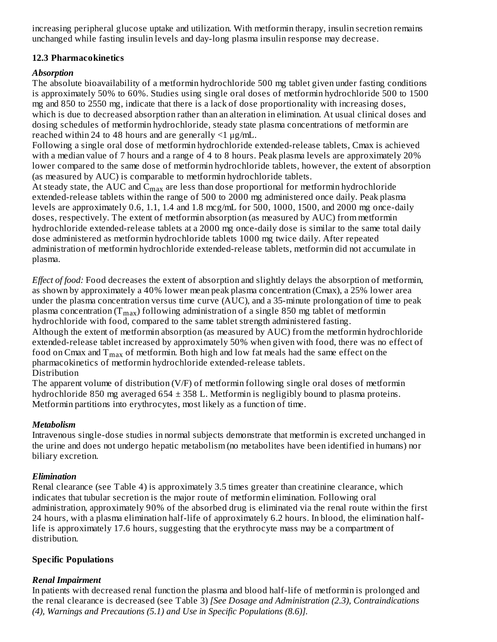increasing peripheral glucose uptake and utilization. With metformin therapy, insulin secretion remains unchanged while fasting insulin levels and day-long plasma insulin response may decrease.

# **12.3 Pharmacokinetics**

## *Absorption*

The absolute bioavailability of a metformin hydrochloride 500 mg tablet given under fasting conditions is approximately 50% to 60%. Studies using single oral doses of metformin hydrochloride 500 to 1500 mg and 850 to 2550 mg, indicate that there is a lack of dose proportionality with increasing doses, which is due to decreased absorption rather than an alteration in elimination. At usual clinical doses and dosing schedules of metformin hydrochloride, steady state plasma concentrations of metformin are reached within 24 to 48 hours and are generally  $\leq 1 \mu$ g/mL.

Following a single oral dose of metformin hydrochloride extended-release tablets, Cmax is achieved with a median value of 7 hours and a range of 4 to 8 hours. Peak plasma levels are approximately 20% lower compared to the same dose of metformin hydrochloride tablets, however, the extent of absorption (as measured by AUC) is comparable to metformin hydrochloride tablets.

At steady state, the  $\rm AUC$  and  $\rm C_{max}$  are less than dose proportional for metformin hydrochloride extended-release tablets within the range of 500 to 2000 mg administered once daily. Peak plasma levels are approximately 0.6, 1.1, 1.4 and 1.8 mcg/mL for 500, 1000, 1500, and 2000 mg once-daily doses, respectively. The extent of metformin absorption (as measured by AUC) from metformin hydrochloride extended-release tablets at a 2000 mg once-daily dose is similar to the same total daily dose administered as metformin hydrochloride tablets 1000 mg twice daily. After repeated administration of metformin hydrochloride extended-release tablets, metformin did not accumulate in plasma.

*Effect of food:* Food decreases the extent of absorption and slightly delays the absorption of metformin, as shown by approximately a 40% lower mean peak plasma concentration (Cmax), a 25% lower area under the plasma concentration versus time curve (AUC), and a 35-minute prolongation of time to peak plasma concentration (T $_{\rm max}$ ) following administration of a single 850 mg tablet of metformin hydrochloride with food, compared to the same tablet strength administered fasting. Although the extent of metformin absorption (as measured by AUC) from the metformin hydrochloride extended-release tablet increased by approximately 50% when given with food, there was no effect of food on Cmax and  $\rm T_{max}$  of metformin. Both high and low fat meals had the same effect on the pharmacokinetics of metformin hydrochloride extended-release tablets. Distribution

The apparent volume of distribution (V/F) of metformin following single oral doses of metformin hydrochloride 850 mg averaged 654  $\pm$  358 L. Metformin is negligibly bound to plasma proteins. Metformin partitions into erythrocytes, most likely as a function of time.

## *Metabolism*

Intravenous single-dose studies in normal subjects demonstrate that metformin is excreted unchanged in the urine and does not undergo hepatic metabolism (no metabolites have been identified in humans) nor biliary excretion.

## *Elimination*

Renal clearance (see Table 4) is approximately 3.5 times greater than creatinine clearance, which indicates that tubular secretion is the major route of metformin elimination. Following oral administration, approximately 90% of the absorbed drug is eliminated via the renal route within the first 24 hours, with a plasma elimination half-life of approximately 6.2 hours. In blood, the elimination halflife is approximately 17.6 hours, suggesting that the erythrocyte mass may be a compartment of distribution.

## **Specific Populations**

# *Renal Impairment*

In patients with decreased renal function the plasma and blood half-life of metformin is prolonged and the renal clearance is decreased (see Table 3) *[See Dosage and Administration (2.3), Contraindications (4), Warnings and Precautions (5.1) and Use in Specific Populations (8.6)].*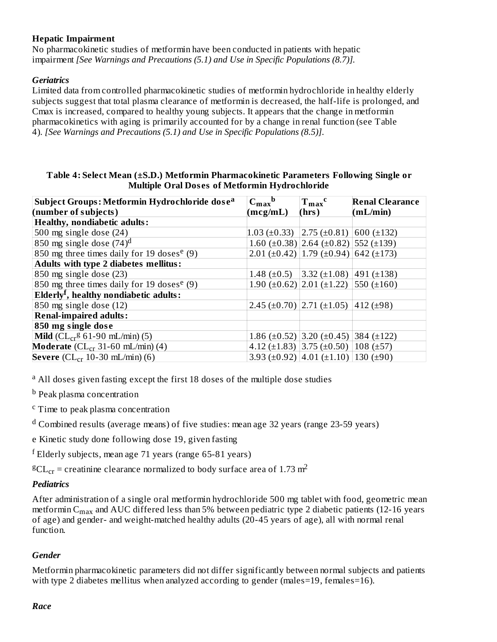## **Hepatic Impairment**

No pharmacokinetic studies of metformin have been conducted in patients with hepatic impairment *[See Warnings and Precautions (5.1) and Use in Specific Populations (8.7)].*

## *Geriatrics*

Limited data from controlled pharmacokinetic studies of metformin hydrochloride in healthy elderly subjects suggest that total plasma clearance of metformin is decreased, the half-life is prolonged, and Cmax is increased, compared to healthy young subjects. It appears that the change in metformin pharmacokinetics with aging is primarily accounted for by a change in renal function (see Table 4). *[See Warnings and Precautions (5.1) and Use in Specific Populations (8.5)]*.

## **Table 4: Select Mean (±S.D.) Metformin Pharmacokinetic Parameters Following Single or Multiple Oral Dos es of Metformin Hydrochloride**

| Subject Groups: Metformin Hydrochloride dose <sup>a</sup> | $C_{\text{max}}^{\text{b}}$ | $T_{max}$ <sup>c</sup>                                | <b>Renal Clearance</b> |
|-----------------------------------------------------------|-----------------------------|-------------------------------------------------------|------------------------|
| (number of subjects)                                      | (mcg/mL)                    | (hrs)                                                 | (mL/min)               |
| <b>Healthy, nondiabetic adults:</b>                       |                             |                                                       |                        |
| 500 mg single dose $(24)$                                 | $1.03 \ (\pm 0.33)$         | $2.75 (\pm 0.81)$                                     | 600 $(\pm 132)$        |
| 850 mg single dose $(74)^d$                               |                             | 1.60 $(\pm 0.38)$ 2.64 $(\pm 0.82)$ 552 $(\pm 139)$   |                        |
| 850 mg three times daily for 19 doses <sup>e</sup> (9)    |                             | $2.01 (\pm 0.42)   1.79 (\pm 0.94)$                   | 642 $(\pm 173)$        |
| <b>Adults with type 2 diabetes mellitus:</b>              |                             |                                                       |                        |
| 850 mg single dose (23)                                   | 1.48 $(\pm 0.5)$            | $3.32 (\pm 1.08)$                                     | 491 $(\pm 138)$        |
| 850 mg three times daily for 19 doses <sup>e</sup> (9)    |                             | $1.90 \pm 0.62$ 2.01 (±1.22)                          | 550 $(\pm 160)$        |
| Elderly <sup>f</sup> , healthy nondiabetic adults:        |                             |                                                       |                        |
| 850 mg single dose (12)                                   |                             | 2.45 ( $\pm$ 0.70) 2.71 ( $\pm$ 1.05) 412 ( $\pm$ 98) |                        |
| <b>Renal-impaired adults:</b>                             |                             |                                                       |                        |
| 850 mg single dose                                        |                             |                                                       |                        |
| <b>Mild</b> ( $CL_{cr}$ <sup>g</sup> 61-90 mL/min) (5)    |                             | 1.86 (±0.52) 3.20 (±0.45) 384 (±122)                  |                        |
| <b>Moderate</b> ( $CL_{cr}$ 31-60 mL/min) (4)             |                             | 4.12 (±1.83) 3.75 (±0.50) 108 (±57)                   |                        |
| Severe $CL_{cr}$ 10-30 mL/min) (6)                        |                             | 3.93 ( $\pm$ 0.92) 4.01 ( $\pm$ 1.10) 130 ( $\pm$ 90) |                        |

<sup>a</sup> All doses given fasting except the first 18 doses of the multiple dose studies

<sup>b</sup> Peak plasma concentration

<sup>c</sup> Time to peak plasma concentration

<sup>d</sup> Combined results (average means) of five studies: mean age 32 years (range 23-59 years)

e Kinetic study done following dose 19, given fasting

 $^{\rm f}$  Elderly subjects, mean age 71 years (range 65-81 years)

 ${}^{\text{g}}\text{CL}_{\text{cr}}$  = creatinine clearance normalized to body surface area of 1.73 m<sup>2</sup>

## *Pediatrics*

After administration of a single oral metformin hydrochloride 500 mg tablet with food, geometric mean metformin C $_{\rm max}$  and AUC differed less than 5% between pediatric type 2 diabetic patients (12-16 years of age) and gender- and weight-matched healthy adults (20-45 years of age), all with normal renal function.

## *Gender*

Metformin pharmacokinetic parameters did not differ significantly between normal subjects and patients with type 2 diabetes mellitus when analyzed according to gender (males=19, females=16).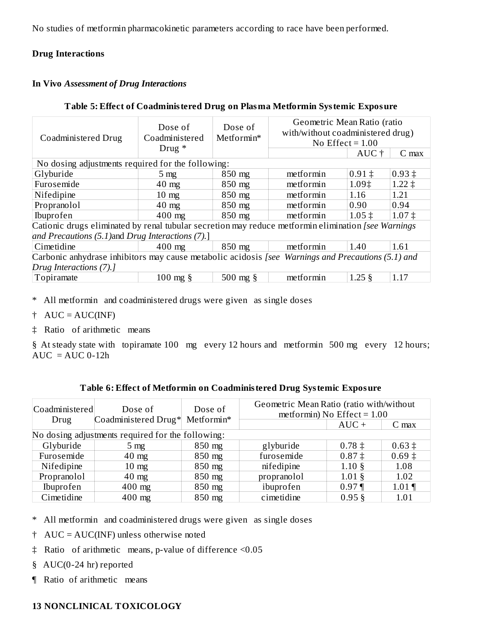No studies of metformin pharmacokinetic parameters according to race have been performed.

## **Drug Interactions**

#### **In Vivo** *Assessment of Drug Interactions*

|                                                                                                     | Dose of             | Dose of             | Geometric Mean Ratio (ratio       |            |                     |
|-----------------------------------------------------------------------------------------------------|---------------------|---------------------|-----------------------------------|------------|---------------------|
| Coadministered Drug                                                                                 | Coadministered      | Metformin*          | with/without coadministered drug) |            |                     |
|                                                                                                     |                     |                     | No Effect = $1.00$                |            |                     |
|                                                                                                     | Drug $*$            |                     |                                   | AUC +      | $C$ max             |
| No dosing adjustments required for the following:                                                   |                     |                     |                                   |            |                     |
| Glyburide                                                                                           | 5 <sub>mg</sub>     | 850 mg              | metformin                         | $0.91 \pm$ | $0.93 \pm$          |
| Furosemide                                                                                          | $40 \text{ mg}$     | 850 mg              | metformin                         | 1.09‡      | $1.22 \;{\ddagger}$ |
| Nifedipine                                                                                          | $10 \text{ mg}$     | 850 mg              | metformin                         | 1.16       | 1.21                |
| Propranolol                                                                                         | $40 \text{ mg}$     | 850 mg              | metformin                         | 0.90       | 0.94                |
| Ibuprofen                                                                                           | $400$ mg            | 850 mg              | metformin                         | $1.05 \pm$ | $1.07 \pm$          |
| Cationic drugs eliminated by renal tubular secretion may reduce metformin elimination [see Warnings |                     |                     |                                   |            |                     |
| and Precautions (5.1) and Drug Interactions (7).                                                    |                     |                     |                                   |            |                     |
| Cimetidine                                                                                          | $400$ mg            | 850 mg              | metformin                         | 1.40       | 1.61                |
| Carbonic anhydrase inhibitors may cause metabolic acidosis [see Warnings and Precautions (5.1) and  |                     |                     |                                   |            |                     |
| Drug Interactions (7).]                                                                             |                     |                     |                                   |            |                     |
| Topiramate                                                                                          | $100 \text{ mg }$ § | $500 \text{ mg }$ § | metformin                         | $1.25\$    | 1.17                |

#### **Table 5: Effect of Coadministered Drug on Plasma Metformin Systemic Exposure**

\* All metformin and coadministered drugs were given as single doses

 $\dagger$  AUC = AUC(INF)

‡ Ratio of arithmetic means

§ At steady state with topiramate 100 mg every 12 hours and metformin 500 mg every 12 hours;  $AUC = AUC 0-12h$ 

#### **Table 6: Effect of Metformin on Coadministered Drug Systemic Exposure**

| Coadministered | Dose of                                           | Dose of<br>Metformin* | Geometric Mean Ratio (ratio with/without<br>metformin) No Effect = $1.00$ |                     |            |  |  |  |
|----------------|---------------------------------------------------|-----------------------|---------------------------------------------------------------------------|---------------------|------------|--|--|--|
| Drug           | Coadministered Drug*                              |                       |                                                                           | $AUC +$             | $C$ max    |  |  |  |
|                | No dosing adjustments required for the following: |                       |                                                                           |                     |            |  |  |  |
| Glyburide      | $5 \text{ mg}$                                    | $850 \text{ mg}$      | glyburide                                                                 | $0.78 \pm$          | $0.63 \pm$ |  |  |  |
| Furosemide     | $40 \text{ mg}$                                   | 850 mg                | furosemide                                                                | $0.87 \;{\ddagger}$ | $0.69 \pm$ |  |  |  |
| Nifedipine     | $10 \text{ mg}$                                   | 850 mg                | nifedipine                                                                | $1.10\;$ §          | 1.08       |  |  |  |
| Propranolol    | $40 \text{ mg}$                                   | 850 mg                | propranolol                                                               | $1.01\$             | 1.02       |  |  |  |
| Ibuprofen      | $400$ mg                                          | 850 mg                | ibuprofen                                                                 | $0.97$ ¶            | $1.01$ ¶   |  |  |  |
| Cimetidine     | $400$ mg                                          | 850 mg                | cimetidine                                                                | $0.95\$             | 1.01       |  |  |  |

\* All metformin and coadministered drugs were given as single doses

- † AUC = AUC(INF) unless otherwise noted
- ‡ Ratio of arithmetic means, p-value of difference <0.05
- § AUC(0-24 hr) reported
- ¶ Ratio of arithmetic means

# **13 NONCLINICAL TOXICOLOGY**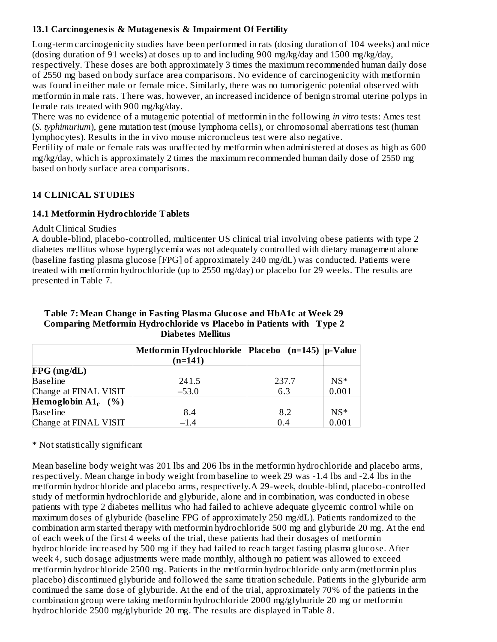# **13.1 Carcinogenesis & Mutagenesis & Impairment Of Fertility**

Long-term carcinogenicity studies have been performed in rats (dosing duration of 104 weeks) and mice (dosing duration of 91 weeks) at doses up to and including 900 mg/kg/day and 1500 mg/kg/day, respectively. These doses are both approximately 3 times the maximum recommended human daily dose of 2550 mg based on body surface area comparisons. No evidence of carcinogenicity with metformin was found in either male or female mice. Similarly, there was no tumorigenic potential observed with metformin in male rats. There was, however, an increased incidence of benign stromal uterine polyps in female rats treated with 900 mg/kg/day.

There was no evidence of a mutagenic potential of metformin in the following *in vitro* tests: Ames test (*S. typhimurium*), gene mutation test (mouse lymphoma cells), or chromosomal aberrations test (human lymphocytes). Results in the in vivo mouse micronucleus test were also negative.

Fertility of male or female rats was unaffected by metformin when administered at doses as high as 600 mg/kg/day, which is approximately 2 times the maximum recommended human daily dose of 2550 mg based on body surface area comparisons.

# **14 CLINICAL STUDIES**

## **14.1 Metformin Hydrochloride Tablets**

## Adult Clinical Studies

A double-blind, placebo-controlled, multicenter US clinical trial involving obese patients with type 2 diabetes mellitus whose hyperglycemia was not adequately controlled with dietary management alone (baseline fasting plasma glucose [FPG] of approximately 240 mg/dL) was conducted. Patients were treated with metformin hydrochloride (up to 2550 mg/day) or placebo for 29 weeks. The results are presented in Table 7.

|                                  | Metformin Hydrochloride   Placebo (n=145)   p-Value<br>$(n=141)$ |       |        |
|----------------------------------|------------------------------------------------------------------|-------|--------|
| $FPG$ (mg/dL)                    |                                                                  |       |        |
| <b>Baseline</b>                  | 241.5                                                            | 237.7 | $NS^*$ |
| Change at FINAL VISIT            | $-53.0$                                                          | 6.3   | 0.001  |
| Hemoglobin $\mathbf{A1}_{c}$ (%) |                                                                  |       |        |
| <b>Baseline</b>                  | 8.4                                                              | 8.2   | $NS^*$ |
| Change at FINAL VISIT            | $-1.4$                                                           | 0.4   | 0.001  |

#### **Table 7: Mean Change in Fasting Plasma Glucos e and HbA1c at Week 29 Comparing Metformin Hydrochloride vs Placebo in Patients with Type 2 Diabetes Mellitus**

## \* Not statistically significant

Mean baseline body weight was 201 lbs and 206 lbs in the metformin hydrochloride and placebo arms, respectively. Mean change in body weight from baseline to week 29 was -1.4 lbs and -2.4 lbs in the metformin hydrochloride and placebo arms, respectively.A 29-week, double-blind, placebo-controlled study of metformin hydrochloride and glyburide, alone and in combination, was conducted in obese patients with type 2 diabetes mellitus who had failed to achieve adequate glycemic control while on maximum doses of glyburide (baseline FPG of approximately 250 mg/dL). Patients randomized to the combination arm started therapy with metformin hydrochloride 500 mg and glyburide 20 mg. At the end of each week of the first 4 weeks of the trial, these patients had their dosages of metformin hydrochloride increased by 500 mg if they had failed to reach target fasting plasma glucose. After week 4, such dosage adjustments were made monthly, although no patient was allowed to exceed metformin hydrochloride 2500 mg. Patients in the metformin hydrochloride only arm (metformin plus placebo) discontinued glyburide and followed the same titration schedule. Patients in the glyburide arm continued the same dose of glyburide. At the end of the trial, approximately 70% of the patients in the combination group were taking metformin hydrochloride 2000 mg/glyburide 20 mg or metformin hydrochloride 2500 mg/glyburide 20 mg. The results are displayed in Table 8.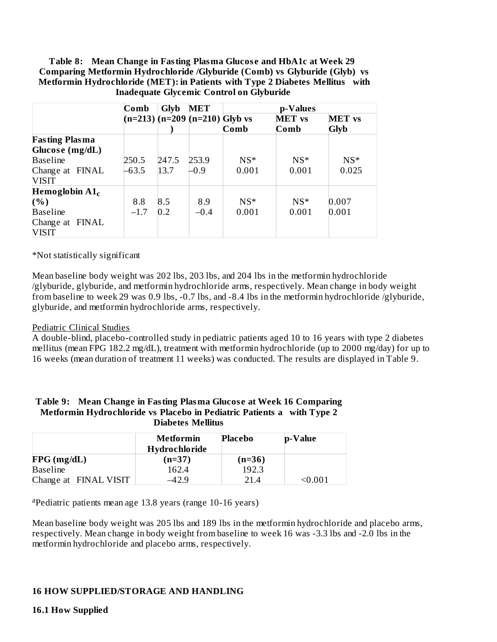**Table 8: Mean Change in Fasting Plasma Glucos e and HbA1c at Week 29 Comparing Metformin Hydrochloride /Glyburide (Comb) vs Glyburide (Glyb) vs Metformin Hydrochloride (MET): in Patients with Type 2 Diabetes Mellitus with Inadequate Glycemic Control on Glyburide**

|                         | Comb   | Glyb  | <b>MET</b>                     |        | p-Values      |               |
|-------------------------|--------|-------|--------------------------------|--------|---------------|---------------|
|                         |        |       | (n=213) (n=209 (n=210) Glyb vs |        | <b>MET</b> vs | <b>MET</b> vs |
|                         |        |       |                                | Comb   | Comb          | Glvb          |
| <b>Fasting Plasma</b>   |        |       |                                |        |               |               |
| Glucose (mg/dL)         |        |       |                                |        |               |               |
| <b>Baseline</b>         | 250.5  | 247.5 | 253.9                          | $NS^*$ | $NS^*$        | $NS^*$        |
| Change at FINAL         | -63.5  | 13.7  | -0.9                           | 0.001  | 0.001         | 0.025         |
| <b>VISIT</b>            |        |       |                                |        |               |               |
| Hemoglobin $\rm Al_{c}$ |        |       |                                |        |               |               |
| (%)                     | 8.8    | 8.5   | 8.9                            | $NS^*$ | $NS^*$        | 0.007         |
| <b>Baseline</b>         | $-1.7$ | 0.2   | $-0.4$                         | 0.001  | 0.001         | 0.001         |
| Change at FINAL         |        |       |                                |        |               |               |
| <b>VISIT</b>            |        |       |                                |        |               |               |

\*Not statistically significant

Mean baseline body weight was 202 lbs, 203 lbs, and 204 lbs in the metformin hydrochloride /glyburide, glyburide, and metformin hydrochloride arms, respectively. Mean change in body weight from baseline to week 29 was 0.9 lbs, -0.7 lbs, and -8.4 lbs in the metformin hydrochloride /glyburide, glyburide, and metformin hydrochloride arms, respectively.

#### Pediatric Clinical Studies

A double-blind, placebo-controlled study in pediatric patients aged 10 to 16 years with type 2 diabetes mellitus (mean FPG 182.2 mg/dL), treatment with metformin hydrochloride (up to 2000 mg/day) for up to 16 weeks (mean duration of treatment 11 weeks) was conducted. The results are displayed in Table 9.

| Table 9: Mean Change in Fasting Plasma Glucose at Week 16 Comparing    |  |
|------------------------------------------------------------------------|--|
| Metformin Hydrochloride vs Placebo in Pediatric Patients a with Type 2 |  |
| <b>Diabetes Mellitus</b>                                               |  |

|                       | Metformin<br>Hydrochloride | Placebo  | p-Value |
|-----------------------|----------------------------|----------|---------|
| $FPG$ (mg/dL)         | $(n=37)$                   | $(n=36)$ |         |
| <b>Baseline</b>       | 162.4                      | 192.3    |         |
| Change at FINAL VISIT | 42.9                       | 21.4     | <0.001  |

<sup>a</sup>Pediatric patients mean age 13.8 years (range 10-16 years)

Mean baseline body weight was 205 lbs and 189 lbs in the metformin hydrochloride and placebo arms, respectively. Mean change in body weight from baseline to week 16 was -3.3 lbs and -2.0 lbs in the metformin hydrochloride and placebo arms, respectively.

## **16 HOW SUPPLIED/STORAGE AND HANDLING**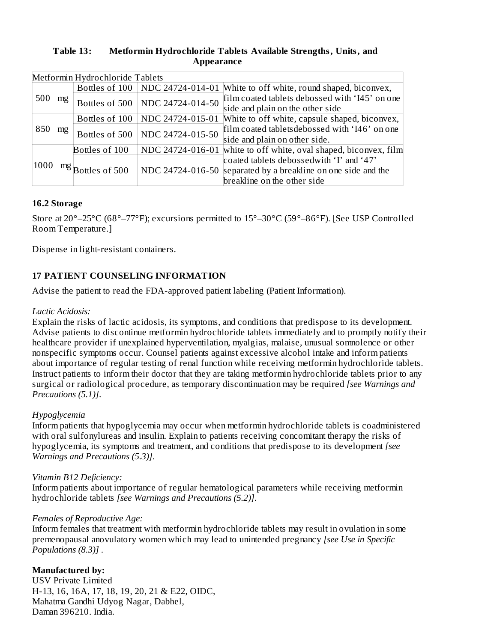## **Table 13: Metformin Hydrochloride Tablets Available Strengths, Units, and Appearance**

|      | Metformin Hydrochloride Tablets |                                   |                                   |                                                                  |  |  |  |
|------|---------------------------------|-----------------------------------|-----------------------------------|------------------------------------------------------------------|--|--|--|
| 500  | mg                              |                                   | Bottles of 100   NDC 24724-014-01 | White to off white, round shaped, biconvex,                      |  |  |  |
|      |                                 | Bottles of 500   NDC 24724-014-50 |                                   | film coated tablets debossed with 'I45' on one                   |  |  |  |
|      |                                 |                                   |                                   | side and plain on the other side                                 |  |  |  |
| 850  | mg                              | Bottles of 100                    | NDC 24724-015-01                  | White to off white, capsule shaped, biconvex,                    |  |  |  |
|      |                                 |                                   | Bottles of 500   NDC 24724-015-50 | film coated tablets debossed with 'I46' on one                   |  |  |  |
|      |                                 |                                   |                                   | side and plain on other side.                                    |  |  |  |
|      |                                 | Bottles of 100                    |                                   | NDC 24724-016-01 white to off white, oval shaped, biconvex, film |  |  |  |
| 1000 |                                 | $mg$ Bottles of 500               |                                   | coated tablets debossedwith 'I' and '47'                         |  |  |  |
|      |                                 |                                   | NDC 24724-016-50                  | separated by a breakline on one side and the                     |  |  |  |
|      |                                 |                                   |                                   | breakline on the other side                                      |  |  |  |

## **16.2 Storage**

Store at 20°–25°C (68°–77°F); excursions permitted to 15°–30°C (59°–86°F). [See USP Controlled Room Temperature.]

Dispense in light-resistant containers.

# **17 PATIENT COUNSELING INFORMATION**

Advise the patient to read the FDA-approved patient labeling (Patient Information).

#### *Lactic Acidosis:*

Explain the risks of lactic acidosis, its symptoms, and conditions that predispose to its development. Advise patients to discontinue metformin hydrochloride tablets immediately and to promptly notify their healthcare provider if unexplained hyperventilation, myalgias, malaise, unusual somnolence or other nonspecific symptoms occur. Counsel patients against excessive alcohol intake and inform patients about importance of regular testing of renal function while receiving metformin hydrochloride tablets. Instruct patients to inform their doctor that they are taking metformin hydrochloride tablets prior to any surgical or radiological procedure, as temporary discontinuation may be required *[see Warnings and Precautions (5.1)]*.

## *Hypoglycemia*

Inform patients that hypoglycemia may occur when metformin hydrochloride tablets is coadministered with oral sulfonylureas and insulin. Explain to patients receiving concomitant therapy the risks of hypoglycemia, its symptoms and treatment, and conditions that predispose to its development *[see Warnings and Precautions (5.3)]*.

## *Vitamin B12 Deficiency:*

Inform patients about importance of regular hematological parameters while receiving metformin hydrochloride tablets *[see Warnings and Precautions (5.2)]*.

#### *Females of Reproductive Age:*

Inform females that treatment with metformin hydrochloride tablets may result in ovulation in some premenopausal anovulatory women which may lead to unintended pregnancy *[see Use in Specific Populations (8.3)] .*

## **Manufactured by:**

USV Private Limited H-13, 16, 16A, 17, 18, 19, 20, 21 & E22, OIDC, Mahatma Gandhi Udyog Nagar, Dabhel, Daman 396210. India.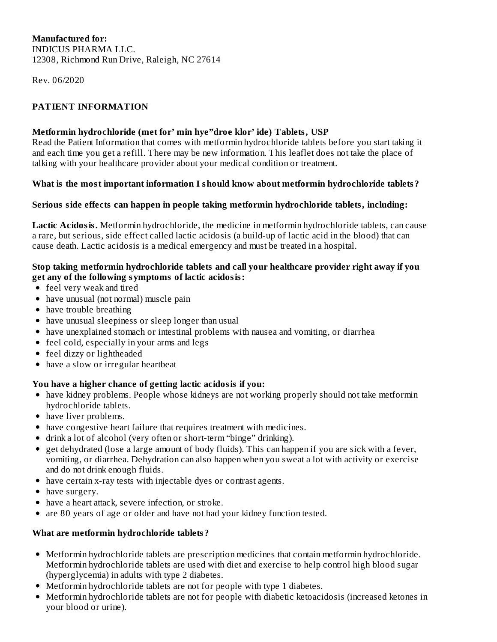#### **Manufactured for:** INDICUS PHARMA LLC. 12308, Richmond Run Drive, Raleigh, NC 27614

Rev. 06/2020

# **PATIENT INFORMATION**

## **Metformin hydrochloride (met for' min hye"droe klor' ide) Tablets, USP**

Read the Patient Information that comes with metformin hydrochloride tablets before you start taking it and each time you get a refill. There may be new information. This leaflet does not take the place of talking with your healthcare provider about your medical condition or treatment.

#### **What is the most important information I should know about metformin hydrochloride tablets?**

#### **Serious side effects can happen in people taking metformin hydrochloride tablets, including:**

**Lactic Acidosis.** Metformin hydrochloride, the medicine in metformin hydrochloride tablets, can cause a rare, but serious, side effect called lactic acidosis (a build-up of lactic acid in the blood) that can cause death. Lactic acidosis is a medical emergency and must be treated in a hospital.

#### **Stop taking metformin hydrochloride tablets and call your healthcare provider right away if you get any of the following symptoms of lactic acidosis:**

- feel very weak and tired
- have unusual (not normal) muscle pain
- have trouble breathing
- have unusual sleepiness or sleep longer than usual
- have unexplained stomach or intestinal problems with nausea and vomiting, or diarrhea
- feel cold, especially in your arms and legs
- feel dizzy or lightheaded
- have a slow or irregular heartbeat

## **You have a higher chance of getting lactic acidosis if you:**

- have kidney problems. People whose kidneys are not working properly should not take metformin hydrochloride tablets.
- have liver problems.
- have congestive heart failure that requires treatment with medicines.
- drink a lot of alcohol (very often or short-term "binge" drinking).
- get dehydrated (lose a large amount of body fluids). This can happen if you are sick with a fever, vomiting, or diarrhea. Dehydration can also happen when you sweat a lot with activity or exercise and do not drink enough fluids.
- have certain x-ray tests with injectable dyes or contrast agents.
- have surgery.
- have a heart attack, severe infection, or stroke.
- are 80 years of age or older and have not had your kidney function tested.

## **What are metformin hydrochloride tablets?**

- Metformin hydrochloride tablets are prescription medicines that contain metformin hydrochloride. Metformin hydrochloride tablets are used with diet and exercise to help control high blood sugar (hyperglycemia) in adults with type 2 diabetes.
- Metformin hydrochloride tablets are not for people with type 1 diabetes.
- Metformin hydrochloride tablets are not for people with diabetic ketoacidosis (increased ketones in your blood or urine).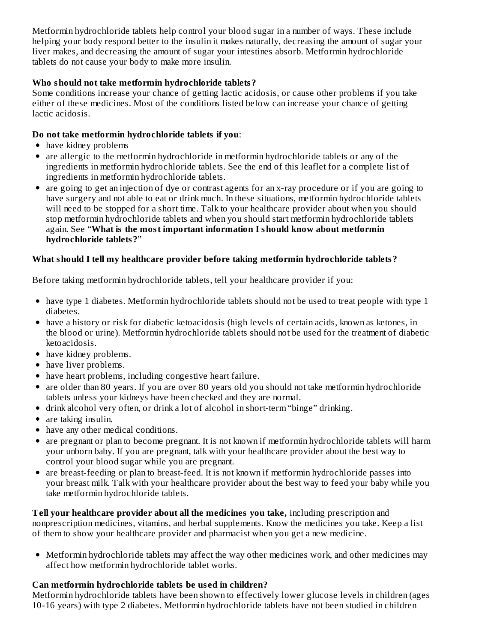Metformin hydrochloride tablets help control your blood sugar in a number of ways. These include helping your body respond better to the insulin it makes naturally, decreasing the amount of sugar your liver makes, and decreasing the amount of sugar your intestines absorb. Metformin hydrochloride tablets do not cause your body to make more insulin.

# **Who should not take metformin hydrochloride tablets?**

Some conditions increase your chance of getting lactic acidosis, or cause other problems if you take either of these medicines. Most of the conditions listed below can increase your chance of getting lactic acidosis.

## **Do not take metformin hydrochloride tablets if you**:

- have kidney problems
- are allergic to the metformin hydrochloride in metformin hydrochloride tablets or any of the ingredients in metformin hydrochloride tablets. See the end of this leaflet for a complete list of ingredients in metformin hydrochloride tablets.
- are going to get an injection of dye or contrast agents for an x-ray procedure or if you are going to have surgery and not able to eat or drink much. In these situations, metformin hydrochloride tablets will need to be stopped for a short time. Talk to your healthcare provider about when you should stop metformin hydrochloride tablets and when you should start metformin hydrochloride tablets again. See "**What is the most important information I should know about metformin hydrochloride tablets?**"

## **What should I tell my healthcare provider before taking metformin hydrochloride tablets?**

Before taking metformin hydrochloride tablets, tell your healthcare provider if you:

- have type 1 diabetes. Metformin hydrochloride tablets should not be used to treat people with type 1 diabetes.
- have a history or risk for diabetic ketoacidosis (high levels of certain acids, known as ketones, in the blood or urine). Metformin hydrochloride tablets should not be used for the treatment of diabetic ketoacidosis.
- have kidney problems.
- have liver problems.
- have heart problems, including congestive heart failure.
- are older than 80 years. If you are over 80 years old you should not take metformin hydrochloride tablets unless your kidneys have been checked and they are normal.
- drink alcohol very often, or drink a lot of alcohol in short-term "binge" drinking.
- are taking insulin.
- have any other medical conditions.
- are pregnant or plan to become pregnant. It is not known if metformin hydrochloride tablets will harm your unborn baby. If you are pregnant, talk with your healthcare provider about the best way to control your blood sugar while you are pregnant.
- are breast-feeding or plan to breast-feed. It is not known if metformin hydrochloride passes into your breast milk. Talk with your healthcare provider about the best way to feed your baby while you take metformin hydrochloride tablets.

**Tell your healthcare provider about all the medicines you take,** including prescription and nonprescription medicines, vitamins, and herbal supplements. Know the medicines you take. Keep a list of them to show your healthcare provider and pharmacist when you get a new medicine.

• Metformin hydrochloride tablets may affect the way other medicines work, and other medicines may affect how metformin hydrochloride tablet works.

## **Can metformin hydrochloride tablets be us ed in children?**

Metformin hydrochloride tablets have been shown to effectively lower glucose levels in children (ages 10-16 years) with type 2 diabetes. Metformin hydrochloride tablets have not been studied in children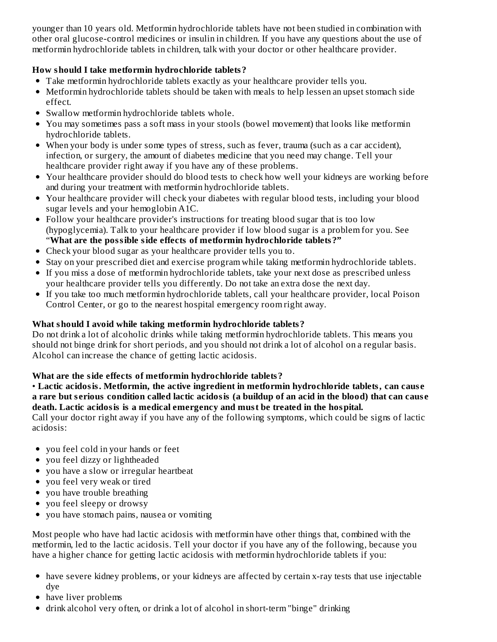younger than 10 years old. Metformin hydrochloride tablets have not been studied in combination with other oral glucose-control medicines or insulin in children. If you have any questions about the use of metformin hydrochloride tablets in children, talk with your doctor or other healthcare provider.

# **How should I take metformin hydrochloride tablets?**

- Take metformin hydrochloride tablets exactly as your healthcare provider tells you.
- Metformin hydrochloride tablets should be taken with meals to help lessen an upset stomach side effect.
- Swallow metformin hydrochloride tablets whole.
- You may sometimes pass a soft mass in your stools (bowel movement) that looks like metformin hydrochloride tablets.
- When your body is under some types of stress, such as fever, trauma (such as a car accident), infection, or surgery, the amount of diabetes medicine that you need may change. Tell your healthcare provider right away if you have any of these problems.
- Your healthcare provider should do blood tests to check how well your kidneys are working before and during your treatment with metformin hydrochloride tablets.
- Your healthcare provider will check your diabetes with regular blood tests, including your blood sugar levels and your hemoglobin A1C.
- Follow your healthcare provider's instructions for treating blood sugar that is too low (hypoglycemia). Talk to your healthcare provider if low blood sugar is a problem for you. See "**What are the possible side effects of metformin hydrochloride tablets?"**
- Check your blood sugar as your healthcare provider tells you to.
- Stay on your prescribed diet and exercise program while taking metformin hydrochloride tablets.
- If you miss a dose of metformin hydrochloride tablets, take your next dose as prescribed unless your healthcare provider tells you differently. Do not take an extra dose the next day.
- If you take too much metformin hydrochloride tablets, call your healthcare provider, local Poison Control Center, or go to the nearest hospital emergency room right away.

# **What should I avoid while taking metformin hydrochloride tablets?**

Do not drink a lot of alcoholic drinks while taking metformin hydrochloride tablets. This means you should not binge drink for short periods, and you should not drink a lot of alcohol on a regular basis. Alcohol can increase the chance of getting lactic acidosis.

# **What are the side effects of metformin hydrochloride tablets?**

• **Lactic acidosis. Metformin, the active ingredient in metformin hydrochloride tablets, can caus e** a rare but serious condition called lactic acidosis (a buildup of an acid in the blood) that can cause **death. Lactic acidosis is a medical emergency and must be treated in the hospital.**

Call your doctor right away if you have any of the following symptoms, which could be signs of lactic acidosis:

- you feel cold in your hands or feet
- you feel dizzy or lightheaded
- you have a slow or irregular heartbeat
- you feel very weak or tired
- you have trouble breathing
- you feel sleepy or drowsy
- you have stomach pains, nausea or vomiting

Most people who have had lactic acidosis with metformin have other things that, combined with the metformin, led to the lactic acidosis. Tell your doctor if you have any of the following, because you have a higher chance for getting lactic acidosis with metformin hydrochloride tablets if you:

- have severe kidney problems, or your kidneys are affected by certain x-ray tests that use injectable dye
- have liver problems
- drink alcohol very often, or drink a lot of alcohol in short-term "binge" drinking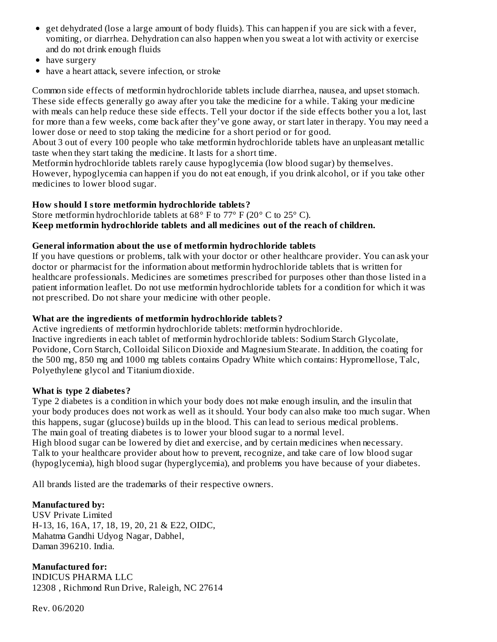- get dehydrated (lose a large amount of body fluids). This can happen if you are sick with a fever, vomiting, or diarrhea. Dehydration can also happen when you sweat a lot with activity or exercise and do not drink enough fluids
- have surgery
- have a heart attack, severe infection, or stroke

Common side effects of metformin hydrochloride tablets include diarrhea, nausea, and upset stomach. These side effects generally go away after you take the medicine for a while. Taking your medicine with meals can help reduce these side effects. Tell your doctor if the side effects bother you a lot, last for more than a few weeks, come back after they've gone away, or start later in therapy. You may need a lower dose or need to stop taking the medicine for a short period or for good.

About 3 out of every 100 people who take metformin hydrochloride tablets have an unpleasant metallic taste when they start taking the medicine. It lasts for a short time.

Metformin hydrochloride tablets rarely cause hypoglycemia (low blood sugar) by themselves. However, hypoglycemia can happen if you do not eat enough, if you drink alcohol, or if you take other medicines to lower blood sugar.

#### **How should I store metformin hydrochloride tablets?**

Store metformin hydrochloride tablets at 68° F to 77° F (20° C to 25° C).

## **Keep metformin hydrochloride tablets and all medicines out of the reach of children.**

#### **General information about the us e of metformin hydrochloride tablets**

If you have questions or problems, talk with your doctor or other healthcare provider. You can ask your doctor or pharmacist for the information about metformin hydrochloride tablets that is written for healthcare professionals. Medicines are sometimes prescribed for purposes other than those listed in a patient information leaflet. Do not use metformin hydrochloride tablets for a condition for which it was not prescribed. Do not share your medicine with other people.

#### **What are the ingredients of metformin hydrochloride tablets?**

Active ingredients of metformin hydrochloride tablets: metformin hydrochloride. Inactive ingredients in each tablet of metformin hydrochloride tablets: Sodium Starch Glycolate, Povidone, Corn Starch, Colloidal Silicon Dioxide and Magnesium Stearate. In addition, the coating for the 500 mg, 850 mg and 1000 mg tablets contains Opadry White which contains: Hypromellose, Talc, Polyethylene glycol and Titanium dioxide.

#### **What is type 2 diabetes?**

Type 2 diabetes is a condition in which your body does not make enough insulin, and the insulin that your body produces does not work as well as it should. Your body can also make too much sugar. When this happens, sugar (glucose) builds up in the blood. This can lead to serious medical problems. The main goal of treating diabetes is to lower your blood sugar to a normal level.

High blood sugar can be lowered by diet and exercise, and by certain medicines when necessary. Talk to your healthcare provider about how to prevent, recognize, and take care of low blood sugar (hypoglycemia), high blood sugar (hyperglycemia), and problems you have because of your diabetes.

All brands listed are the trademarks of their respective owners.

## **Manufactured by:**

USV Private Limited H-13, 16, 16A, 17, 18, 19, 20, 21 & E22, OIDC, Mahatma Gandhi Udyog Nagar, Dabhel, Daman 396210. India.

**Manufactured for:** INDICUS PHARMA LLC 12308 , Richmond Run Drive, Raleigh, NC 27614

Rev. 06/2020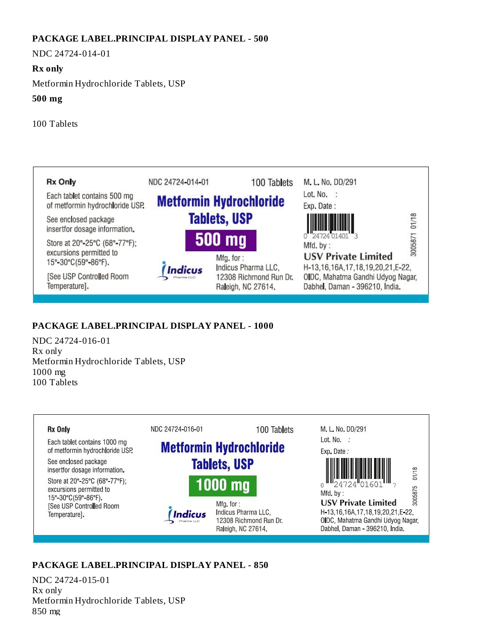## **PACKAGE LABEL.PRINCIPAL DISPLAY PANEL - 500**

NDC 24724-014-01

#### **Rx only**

Metformin Hydrochloride Tablets, USP

**500 mg**

100 Tablets



# **PACKAGE LABEL.PRINCIPAL DISPLAY PANEL - 1000**

NDC 24724-016-01 Rx only Metformin Hydrochloride Tablets, USP 1000 mg 100 Tablets



# **PACKAGE LABEL.PRINCIPAL DISPLAY PANEL - 850**

NDC 24724-015-01 Rx only Metformin Hydrochloride Tablets, USP 850 mg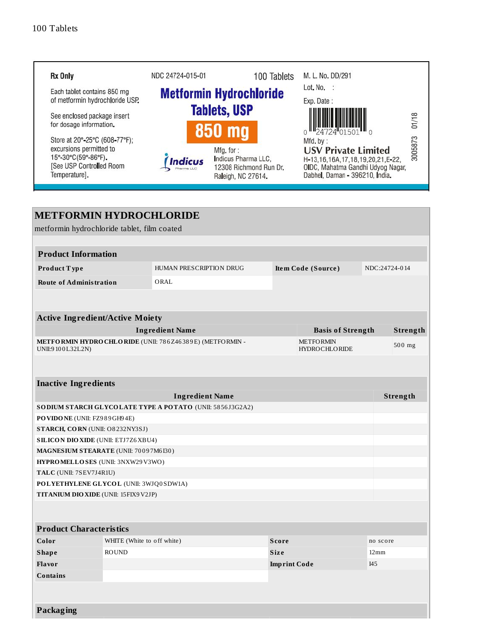

| <b>Product Information</b>                                    |                             |                                                         |                     |                                          |                |                 |  |  |
|---------------------------------------------------------------|-----------------------------|---------------------------------------------------------|---------------------|------------------------------------------|----------------|-----------------|--|--|
| Product Type<br>HUMAN PRESCRIPTION DRUG<br>Item Code (Source) |                             |                                                         |                     |                                          |                | NDC:24724-014   |  |  |
| <b>Route of Administration</b>                                |                             | ORAL                                                    |                     |                                          |                |                 |  |  |
|                                                               |                             |                                                         |                     |                                          |                |                 |  |  |
|                                                               |                             |                                                         |                     |                                          |                |                 |  |  |
| <b>Active Ingredient/Active Moiety</b>                        |                             |                                                         |                     |                                          |                |                 |  |  |
|                                                               |                             | <b>Ingredient Name</b>                                  |                     | <b>Basis of Strength</b>                 |                | <b>Strength</b> |  |  |
| UNII:9 100L32L2N)                                             |                             | METFORMIN HYDROCHLORIDE (UNII: 786Z46389E) (METFORMIN - |                     | <b>METFORMIN</b><br><b>HYDROCHLORIDE</b> |                | 500 mg          |  |  |
|                                                               |                             |                                                         |                     |                                          |                |                 |  |  |
| <b>Inactive Ingredients</b>                                   |                             |                                                         |                     |                                          |                |                 |  |  |
| <b>Ingredient Name</b>                                        |                             |                                                         |                     |                                          |                |                 |  |  |
| SO DIUM STARCH GLYCOLATE TYPE A POTATO (UNII: 5856J3G2A2)     |                             |                                                         |                     |                                          |                |                 |  |  |
| PO VIDO NE (UNII: FZ989GH94E)                                 |                             |                                                         |                     |                                          |                |                 |  |  |
| STARCH, CORN (UNII: O8232NY3SJ)                               |                             |                                                         |                     |                                          |                |                 |  |  |
| SILICON DIOXIDE (UNII: ETJ7Z6XBU4)                            |                             |                                                         |                     |                                          |                |                 |  |  |
| MAGNESIUM STEARATE (UNII: 70097M6I30)                         |                             |                                                         |                     |                                          |                |                 |  |  |
| HYPROMELLOSES (UNII: 3NXW29V3WO)                              |                             |                                                         |                     |                                          |                |                 |  |  |
|                                                               | TALC (UNII: 7SEV7J4R1U)     |                                                         |                     |                                          |                |                 |  |  |
| POLYETHYLENE GLYCOL (UNII: 3WJQ0SDW1A)                        |                             |                                                         |                     |                                          |                |                 |  |  |
| TITANIUM DIO XIDE (UNII: 15FIX9 V2JP)                         |                             |                                                         |                     |                                          |                |                 |  |  |
|                                                               |                             |                                                         |                     |                                          |                |                 |  |  |
| <b>Product Characteristics</b>                                |                             |                                                         |                     |                                          |                |                 |  |  |
| Color<br>WHITE (White to off white)<br><b>Score</b>           |                             |                                                         |                     |                                          |                | no score        |  |  |
| <b>Shape</b>                                                  | <b>ROUND</b><br><b>Size</b> |                                                         |                     |                                          | $12 \text{mm}$ |                 |  |  |
| <b>Flavor</b>                                                 |                             |                                                         | <b>Imprint Code</b> |                                          | <b>I45</b>     |                 |  |  |
| <b>Contains</b>                                               |                             |                                                         |                     |                                          |                |                 |  |  |
|                                                               |                             |                                                         |                     |                                          |                |                 |  |  |
|                                                               |                             |                                                         |                     |                                          |                |                 |  |  |
| Packaging                                                     |                             |                                                         |                     |                                          |                |                 |  |  |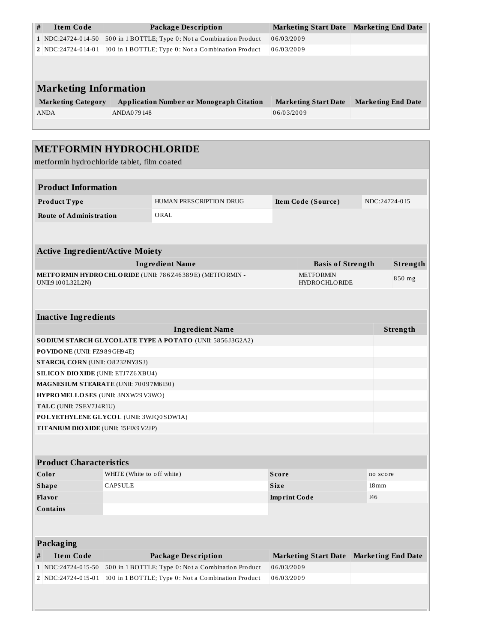| #                                                                                 | <b>Item Code</b>                                                          |            | <b>Package Description</b>                                                                               |                     | Marketing Start Date Marketing End Date      |                           |               |                           |
|-----------------------------------------------------------------------------------|---------------------------------------------------------------------------|------------|----------------------------------------------------------------------------------------------------------|---------------------|----------------------------------------------|---------------------------|---------------|---------------------------|
|                                                                                   | 1 NDC:24724-014-50                                                        |            | 500 in 1 BOTTLE; Type 0: Not a Combination Product                                                       | 06/03/2009          |                                              |                           |               |                           |
|                                                                                   | 2 NDC:24724-014-01                                                        |            | 100 in 1 BOTTLE; Type 0: Not a Combination Product                                                       | 06/03/2009          |                                              |                           |               |                           |
|                                                                                   |                                                                           |            |                                                                                                          |                     |                                              |                           |               |                           |
|                                                                                   |                                                                           |            |                                                                                                          |                     |                                              |                           |               |                           |
|                                                                                   | <b>Marketing Information</b>                                              |            |                                                                                                          |                     |                                              |                           |               |                           |
|                                                                                   | <b>Marketing Category</b>                                                 |            | <b>Application Number or Monograph Citation</b>                                                          |                     | <b>Marketing Start Date</b>                  | <b>Marketing End Date</b> |               |                           |
|                                                                                   | ANDA                                                                      | ANDA079148 |                                                                                                          | 06/03/2009          |                                              |                           |               |                           |
|                                                                                   |                                                                           |            |                                                                                                          |                     |                                              |                           |               |                           |
|                                                                                   |                                                                           |            |                                                                                                          |                     |                                              |                           |               |                           |
|                                                                                   | <b>METFORMIN HYDROCHLORIDE</b>                                            |            |                                                                                                          |                     |                                              |                           |               |                           |
|                                                                                   | metformin hydrochloride tablet, film coated                               |            |                                                                                                          |                     |                                              |                           |               |                           |
|                                                                                   |                                                                           |            |                                                                                                          |                     |                                              |                           |               |                           |
|                                                                                   | <b>Product Information</b>                                                |            |                                                                                                          |                     |                                              |                           |               |                           |
|                                                                                   | Product Type                                                              |            | HUMAN PRESCRIPTION DRUG                                                                                  |                     | Item Code (Source)                           |                           | NDC:24724-015 |                           |
|                                                                                   |                                                                           |            |                                                                                                          |                     |                                              |                           |               |                           |
|                                                                                   | <b>Route of Administration</b>                                            |            | ORAL                                                                                                     |                     |                                              |                           |               |                           |
|                                                                                   |                                                                           |            |                                                                                                          |                     |                                              |                           |               |                           |
|                                                                                   |                                                                           |            |                                                                                                          |                     |                                              |                           |               |                           |
|                                                                                   | <b>Active Ingredient/Active Moiety</b>                                    |            |                                                                                                          |                     |                                              |                           |               |                           |
| <b>Ingredient Name</b><br>METFORMIN HYDROCHLORIDE (UNII: 786Z46389E) (METFORMIN - |                                                                           |            |                                                                                                          |                     | <b>Basis of Strength</b><br><b>METFORMIN</b> |                           |               | Strength                  |
|                                                                                   | UNII:9 10 0 L32L2N)                                                       |            |                                                                                                          |                     | <b>HYDROCHLORIDE</b>                         |                           |               | 850 mg                    |
|                                                                                   |                                                                           |            |                                                                                                          |                     |                                              |                           |               |                           |
|                                                                                   |                                                                           |            |                                                                                                          |                     |                                              |                           |               |                           |
|                                                                                   | <b>Inactive Ingredients</b>                                               |            |                                                                                                          |                     |                                              |                           |               |                           |
|                                                                                   | <b>Ingredient Name</b><br>Strength                                        |            |                                                                                                          |                     |                                              |                           |               |                           |
|                                                                                   | SODIUM STARCH GLYCOLATE TYPE A POTATO (UNII: 5856J3G2A2)                  |            |                                                                                                          |                     |                                              |                           |               |                           |
|                                                                                   | <b>PO VIDO NE</b> (UNII: FZ989GH94E)                                      |            |                                                                                                          |                     |                                              |                           |               |                           |
|                                                                                   | STARCH, CORN (UNII: O8232NY3SJ)                                           |            |                                                                                                          |                     |                                              |                           |               |                           |
|                                                                                   | <b>SILICON DIOXIDE (UNII: ETJ7Z6XBU4)</b>                                 |            |                                                                                                          |                     |                                              |                           |               |                           |
|                                                                                   | MAGNESIUM STEARATE (UNII: 70097M6I30)<br>HYPROMELLOSES (UNII: 3NXW29V3WO) |            |                                                                                                          |                     |                                              |                           |               |                           |
|                                                                                   | TALC (UNII: 7SEV7J4R1U)                                                   |            |                                                                                                          |                     |                                              |                           |               |                           |
|                                                                                   | POLYETHYLENE GLYCOL (UNII: 3WJQ0SDW1A)                                    |            |                                                                                                          |                     |                                              |                           |               |                           |
| TITANIUM DIO XIDE (UNII: 15FIX9 V2JP)                                             |                                                                           |            |                                                                                                          |                     |                                              |                           |               |                           |
|                                                                                   |                                                                           |            |                                                                                                          |                     |                                              |                           |               |                           |
|                                                                                   |                                                                           |            |                                                                                                          |                     |                                              |                           |               |                           |
|                                                                                   | <b>Product Characteristics</b>                                            |            |                                                                                                          |                     |                                              |                           |               |                           |
| Color<br>WHITE (White to off white)                                               |                                                                           |            |                                                                                                          | <b>Score</b>        |                                              |                           | no score      |                           |
| <b>CAPSULE</b><br><b>Shape</b>                                                    |                                                                           |            |                                                                                                          | <b>Size</b>         |                                              | $18 \,\mathrm{mm}$        |               |                           |
|                                                                                   | Flavor                                                                    |            |                                                                                                          | <b>Imprint Code</b> |                                              |                           | I46           |                           |
|                                                                                   | <b>Contains</b>                                                           |            |                                                                                                          |                     |                                              |                           |               |                           |
|                                                                                   |                                                                           |            |                                                                                                          |                     |                                              |                           |               |                           |
|                                                                                   |                                                                           |            |                                                                                                          |                     |                                              |                           |               |                           |
|                                                                                   | <b>Packaging</b>                                                          |            |                                                                                                          |                     |                                              |                           |               |                           |
| #                                                                                 | <b>Item Code</b>                                                          |            | <b>Package Description</b>                                                                               | 06/03/2009          | <b>Marketing Start Date</b>                  |                           |               | <b>Marketing End Date</b> |
|                                                                                   | 1 NDC:24724-015-50<br>2 NDC:24724-015-01                                  |            | 500 in 1 BOTTLE; Type 0: Not a Combination Product<br>100 in 1 BOTTLE; Type 0: Not a Combination Product | 06/03/2009          |                                              |                           |               |                           |
|                                                                                   |                                                                           |            |                                                                                                          |                     |                                              |                           |               |                           |
|                                                                                   |                                                                           |            |                                                                                                          |                     |                                              |                           |               |                           |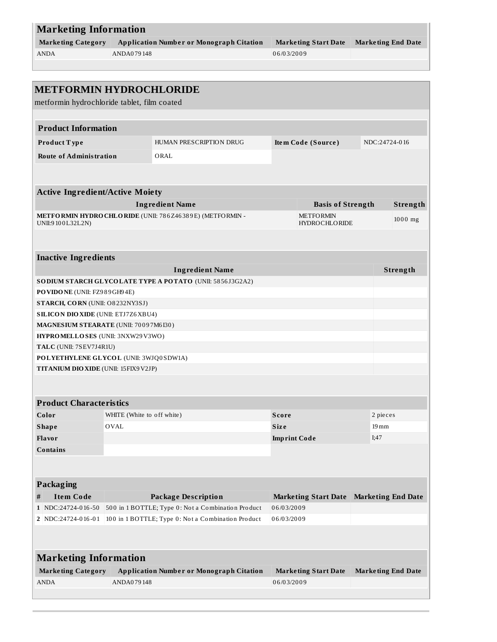| <b>Marketing Information</b> |                                                 |                             |                           |  |  |
|------------------------------|-------------------------------------------------|-----------------------------|---------------------------|--|--|
| <b>Marketing Category</b>    | <b>Application Number or Monograph Citation</b> | <b>Marketing Start Date</b> | <b>Marketing End Date</b> |  |  |
| <b>ANDA</b>                  | ANDA079148                                      | 06/03/2009                  |                           |  |  |
|                              |                                                 |                             |                           |  |  |
|                              |                                                 |                             |                           |  |  |

|                                                                                        | <b>METFORMIN HYDROCHLORIDE</b>                           |              |                                          |  |                           |  |  |  |
|----------------------------------------------------------------------------------------|----------------------------------------------------------|--------------|------------------------------------------|--|---------------------------|--|--|--|
|                                                                                        | metformin hydrochloride tablet, film coated              |              |                                          |  |                           |  |  |  |
|                                                                                        |                                                          |              |                                          |  |                           |  |  |  |
| <b>Product Information</b>                                                             |                                                          |              |                                          |  |                           |  |  |  |
|                                                                                        |                                                          |              |                                          |  |                           |  |  |  |
| Product Type                                                                           | HUMAN PRESCRIPTION DRUG                                  |              | Item Code (Source)                       |  | NDC:24724-016             |  |  |  |
| <b>Route of Administration</b>                                                         | ORAL                                                     |              |                                          |  |                           |  |  |  |
|                                                                                        |                                                          |              |                                          |  |                           |  |  |  |
|                                                                                        |                                                          |              |                                          |  |                           |  |  |  |
| <b>Active Ingredient/Active Moiety</b>                                                 |                                                          |              |                                          |  |                           |  |  |  |
|                                                                                        | <b>Ingredient Name</b>                                   |              | <b>Basis of Strength</b>                 |  | Strength                  |  |  |  |
| UNII:9100L32L2N)                                                                       | METFORMIN HYDROCHLORIDE (UNII: 786Z46389E) (METFORMIN -  |              | <b>METFORMIN</b><br><b>HYDROCHLORIDE</b> |  | $1000$ mg                 |  |  |  |
|                                                                                        |                                                          |              |                                          |  |                           |  |  |  |
| <b>Inactive Ingredients</b>                                                            |                                                          |              |                                          |  |                           |  |  |  |
|                                                                                        | <b>Ingredient Name</b>                                   |              |                                          |  | Strength                  |  |  |  |
|                                                                                        | SODIUM STARCH GLYCOLATE TYPE A POTATO (UNII: 5856J3G2A2) |              |                                          |  |                           |  |  |  |
| PO VIDO NE (UNII: FZ989GH94E)                                                          |                                                          |              |                                          |  |                           |  |  |  |
| <b>STARCH, CORN</b> (UNII: O8232NY3SJ)                                                 |                                                          |              |                                          |  |                           |  |  |  |
| <b>SILICON DIOXIDE (UNII: ETJ7Z6XBU4)</b>                                              |                                                          |              |                                          |  |                           |  |  |  |
|                                                                                        | MAGNESIUM STEARATE (UNII: 70097M6I30)                    |              |                                          |  |                           |  |  |  |
| HYPROMELLOSES (UNII: 3NXW29V3WO)                                                       |                                                          |              |                                          |  |                           |  |  |  |
| TALC (UNII: 7SEV7J4R1U)                                                                |                                                          |              |                                          |  |                           |  |  |  |
| POLYETHYLENE GLYCOL (UNII: 3WJQ0SDW1A)                                                 |                                                          |              |                                          |  |                           |  |  |  |
| TITANIUM DIO XIDE (UNII: 15FIX9 V2JP)                                                  |                                                          |              |                                          |  |                           |  |  |  |
|                                                                                        |                                                          |              |                                          |  |                           |  |  |  |
| <b>Product Characteristics</b>                                                         |                                                          |              |                                          |  |                           |  |  |  |
| Color                                                                                  | WHITE (White to off white)                               | <b>Score</b> |                                          |  | 2 pieces                  |  |  |  |
| <b>Shape</b>                                                                           | <b>OVAL</b>                                              | <b>Size</b>  |                                          |  | $19 \,\mathrm{mm}$        |  |  |  |
| <b>Flavor</b>                                                                          |                                                          |              | <b>Imprint Code</b>                      |  | I:47                      |  |  |  |
| Contains                                                                               |                                                          |              |                                          |  |                           |  |  |  |
|                                                                                        |                                                          |              |                                          |  |                           |  |  |  |
|                                                                                        |                                                          |              |                                          |  |                           |  |  |  |
| <b>Packaging</b>                                                                       |                                                          |              |                                          |  |                           |  |  |  |
| <b>Item Code</b><br>#                                                                  | <b>Package Description</b>                               |              | <b>Marketing Start Date</b>              |  | <b>Marketing End Date</b> |  |  |  |
| $1 NDC:24724-016-50$                                                                   | 500 in 1 BOTTLE; Type 0: Not a Combination Product       | 06/03/2009   |                                          |  |                           |  |  |  |
| 2 NDC:24724-016-01<br>100 in 1 BOTTLE; Type 0: Not a Combination Product<br>06/03/2009 |                                                          |              |                                          |  |                           |  |  |  |
|                                                                                        |                                                          |              |                                          |  |                           |  |  |  |
| <b>Marketing Information</b>                                                           |                                                          |              |                                          |  |                           |  |  |  |
| <b>Marketing Category</b>                                                              | <b>Application Number or Monograph Citation</b>          |              | <b>Marketing Start Date</b>              |  | <b>Marketing End Date</b> |  |  |  |
| <b>ANDA</b>                                                                            | ANDA079148                                               | 06/03/2009   |                                          |  |                           |  |  |  |
|                                                                                        |                                                          |              |                                          |  |                           |  |  |  |